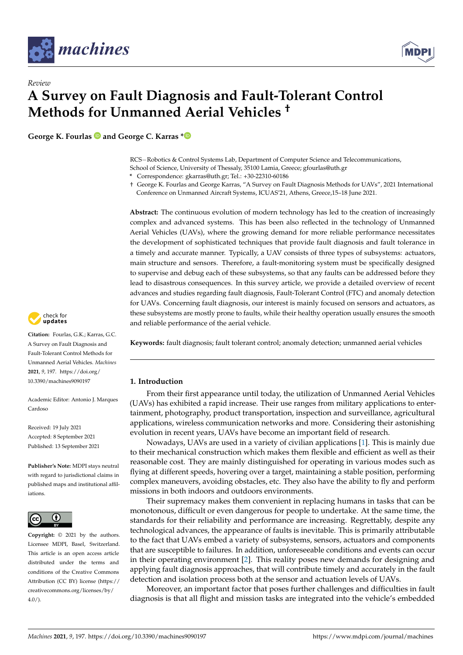

*Review*



# **A Survey on Fault Diagnosis and Fault-Tolerant Control Methods for Unmanned Aerial Vehicles †**

**George K. Fourlas and George C. Karras [\\*](https://orcid.org/0000-0002-4045-4715)**

RCS−Robotics & Control Systems Lab, Department of Computer Science and Telecommunications, School of Science, University of Thessaly, 35100 Lamia, Greece; gfourlas@uth.gr

**\*** Correspondence: gkarras@uth.gr; Tel.: +30-22310-60186

† George K. Fourlas and George Karras, "A Survey on Fault Diagnosis Methods for UAVs", 2021 International Conference on Unmanned Aircraft Systems, ICUAS'21, Athens, Greece,15–18 June 2021.

**Abstract:** The continuous evolution of modern technology has led to the creation of increasingly complex and advanced systems. This has been also reflected in the technology of Unmanned Aerial Vehicles (UAVs), where the growing demand for more reliable performance necessitates the development of sophisticated techniques that provide fault diagnosis and fault tolerance in a timely and accurate manner. Typically, a UAV consists of three types of subsystems: actuators, main structure and sensors. Therefore, a fault-monitoring system must be specifically designed to supervise and debug each of these subsystems, so that any faults can be addressed before they lead to disastrous consequences. In this survey article, we provide a detailed overview of recent advances and studies regarding fault diagnosis, Fault-Tolerant Control (FTC) and anomaly detection for UAVs. Concerning fault diagnosis, our interest is mainly focused on sensors and actuators, as these subsystems are mostly prone to faults, while their healthy operation usually ensures the smooth and reliable performance of the aerial vehicle.



## **1. Introduction**

From their first appearance until today, the utilization of Unmanned Aerial Vehicles (UAVs) has exhibited a rapid increase. Their use ranges from military applications to entertainment, photography, product transportation, inspection and surveillance, agricultural applications, wireless communication networks and more. Considering their astonishing evolution in recent years, UAVs have become an important field of research.

Nowadays, UAVs are used in a variety of civilian applications [\[1\]](#page-27-0). This is mainly due to their mechanical construction which makes them flexible and efficient as well as their reasonable cost. They are mainly distinguished for operating in various modes such as flying at different speeds, hovering over a target, maintaining a stable position, performing complex maneuvers, avoiding obstacles, etc. They also have the ability to fly and perform missions in both indoors and outdoors environments.

Their supremacy makes them convenient in replacing humans in tasks that can be monotonous, difficult or even dangerous for people to undertake. At the same time, the standards for their reliability and performance are increasing. Regrettably, despite any technological advances, the appearance of faults is inevitable. This is primarily attributable to the fact that UAVs embed a variety of subsystems, sensors, actuators and components that are susceptible to failures. In addition, unforeseeable conditions and events can occur in their operating environment [\[2\]](#page-27-1). This reality poses new demands for designing and applying fault diagnosis approaches, that will contribute timely and accurately in the fault detection and isolation process both at the sensor and actuation levels of UAVs.

Moreover, an important factor that poses further challenges and difficulties in fault diagnosis is that all flight and mission tasks are integrated into the vehicle's embedded



**Citation:** Fourlas, G.K.; Karras, G.C. A Survey on Fault Diagnosis and Fault-Tolerant Control Methods for Unmanned Aerial Vehicles. *Machines* **2021**, *9*, 197. [https://doi.org/](https://doi.org/10.3390/machines9090197) [10.3390/machines9090197](https://doi.org/10.3390/machines9090197)

Academic Editor: Antonio J. Marques Cardoso

Received: 19 July 2021 Accepted: 8 September 2021 Published: 13 September 2021

**Publisher's Note:** MDPI stays neutral with regard to jurisdictional claims in published maps and institutional affiliations.



**Copyright:** © 2021 by the authors. Licensee MDPI, Basel, Switzerland. This article is an open access article distributed under the terms and conditions of the Creative Commons Attribution (CC BY) license (https:/[/](https://creativecommons.org/licenses/by/4.0/) [creativecommons.org/licenses/by/](https://creativecommons.org/licenses/by/4.0/)  $4.0/$ ).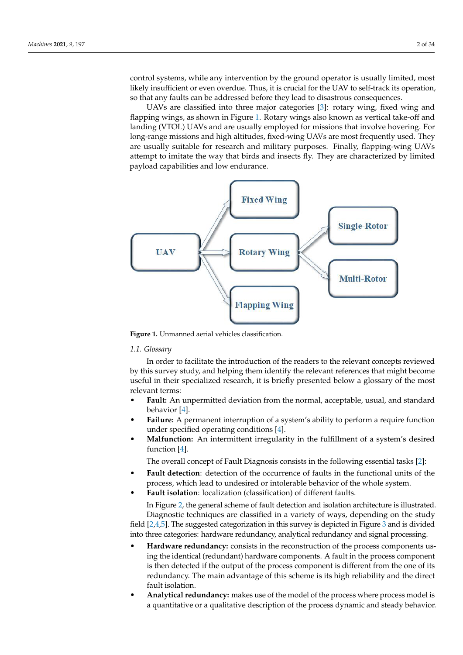control systems, while any intervention by the ground operator is usually limited, most likely insufficient or even overdue. Thus, it is crucial for the UAV to self-track its operation, so that any faults can be addressed before they lead to disastrous consequences.

UAVs are classified into three major categories [\[3\]](#page-27-2): rotary wing, fixed wing and flapping wings, as shown in Figure [1.](#page-1-0) Rotary wings also known as vertical take-off and landing (VTOL) UAVs and are usually employed for missions that involve hovering. For long-range missions and high altitudes, fixed-wing UAVs are most frequently used. They are usually suitable for research and military purposes. Finally, flapping-wing UAVs attempt to imitate the way that birds and insects fly. They are characterized by limited payload capabilities and low endurance.

<span id="page-1-0"></span>

**Figure 1.** Unmanned aerial vehicles classification.

#### *1.1. Glossary*

In order to facilitate the introduction of the readers to the relevant concepts reviewed by this survey study, and helping them identify the relevant references that might become useful in their specialized research, it is briefly presented below a glossary of the most relevant terms:

- **Fault:** An unpermitted deviation from the normal, acceptable, usual, and standard behavior [\[4\]](#page-27-3).
- **Failure:** A permanent interruption of a system's ability to perform a require function under specified operating conditions [\[4\]](#page-27-3).
- **Malfunction:** An intermittent irregularity in the fulfillment of a system's desired function [\[4\]](#page-27-3).

The overall concept of Fault Diagnosis consists in the following essential tasks [\[2\]](#page-27-1):

- **Fault detection**: detection of the occurrence of faults in the functional units of the process, which lead to undesired or intolerable behavior of the whole system.
- **Fault isolation**: localization (classification) of different faults.

In Figure [2,](#page-2-0) the general scheme of fault detection and isolation architecture is illustrated. Diagnostic techniques are classified in a variety of ways, depending on the study field [\[2](#page-27-1)[,4,](#page-27-3)[5\]](#page-27-4). The suggested categorization in this survey is depicted in Figure [3](#page-2-1) and is divided into three categories: hardware redundancy, analytical redundancy and signal processing.

- **Hardware redundancy:** consists in the reconstruction of the process components using the identical (redundant) hardware components. A fault in the process component is then detected if the output of the process component is different from the one of its redundancy. The main advantage of this scheme is its high reliability and the direct fault isolation.
- **Analytical redundancy:** makes use of the model of the process where process model is a quantitative or a qualitative description of the process dynamic and steady behavior.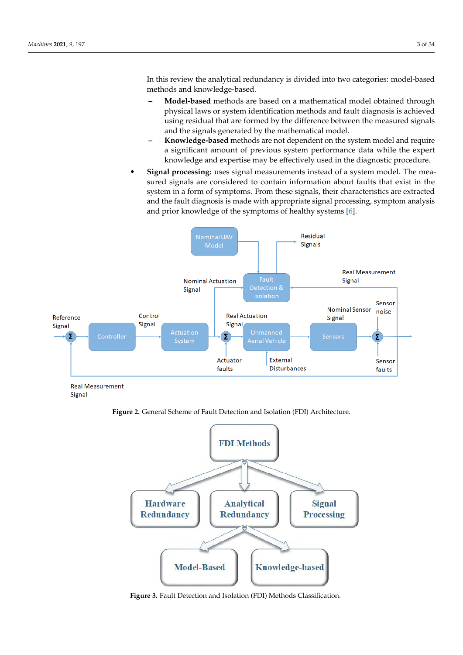In this review the analytical redundancy is divided into two categories: model-based methods and knowledge-based.

- **– Model-based** methods are based on a mathematical model obtained through physical laws or system identification methods and fault diagnosis is achieved using residual that are formed by the difference between the measured signals and the signals generated by the mathematical model.
- **– Knowledge-based** methods are not dependent on the system model and require a significant amount of previous system performance data while the expert knowledge and expertise may be effectively used in the diagnostic procedure.
- **Signal processing:** uses signal measurements instead of a system model. The measured signals are considered to contain information about faults that exist in the system in a form of symptoms. From these signals, their characteristics are extracted and the fault diagnosis is made with appropriate signal processing, symptom analysis and prior knowledge of the symptoms of healthy systems [\[6\]](#page-28-0).

<span id="page-2-0"></span>

Signal

**Figure 2.** General Scheme of Fault Detection and Isolation (FDI) Architecture.

<span id="page-2-1"></span>

**Figure 3.** Fault Detection and Isolation (FDI) Methods Classification.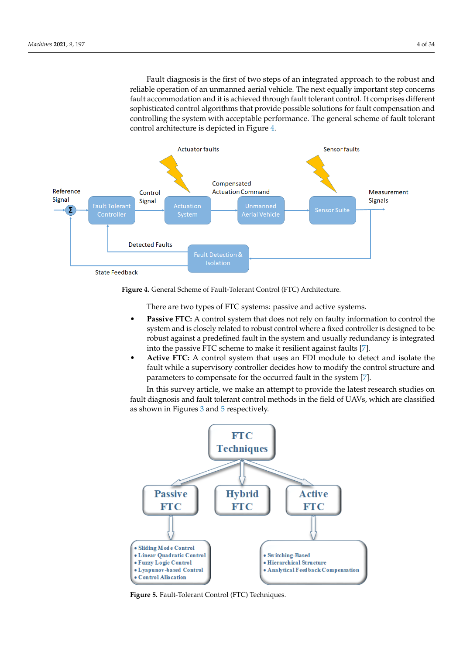Fault diagnosis is the first of two steps of an integrated approach to the robust and reliable operation of an unmanned aerial vehicle. The next equally important step concerns fault accommodation and it is achieved through fault tolerant control. It comprises different sophisticated control algorithms that provide possible solutions for fault compensation and controlling the system with acceptable performance. The general scheme of fault tolerant control architecture is depicted in Figure [4.](#page-3-0)

<span id="page-3-0"></span>

**Figure 4.** General Scheme of Fault-Tolerant Control (FTC) Architecture.

There are two types of FTC systems: passive and active systems.

- Passive FTC: A control system that does not rely on faulty information to control the system and is closely related to robust control where a fixed controller is designed to be robust against a predefined fault in the system and usually redundancy is integrated into the passive FTC scheme to make it resilient against faults [\[7\]](#page-28-1).
- **Active FTC:** A control system that uses an FDI module to detect and isolate the fault while a supervisory controller decides how to modify the control structure and parameters to compensate for the occurred fault in the system [\[7\]](#page-28-1).

In this survey article, we make an attempt to provide the latest research studies on fault diagnosis and fault tolerant control methods in the field of UAVs, which are classified as shown in Figures [3](#page-2-1) and [5](#page-3-1) respectively.

<span id="page-3-1"></span>

**Figure 5.** Fault-Tolerant Control (FTC) Techniques.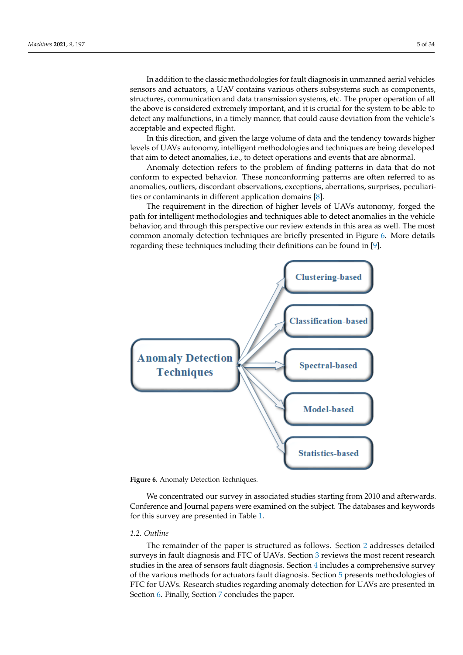In addition to the classic methodologies for fault diagnosis in unmanned aerial vehicles sensors and actuators, a UAV contains various others subsystems such as components, structures, communication and data transmission systems, etc. The proper operation of all the above is considered extremely important, and it is crucial for the system to be able to detect any malfunctions, in a timely manner, that could cause deviation from the vehicle's acceptable and expected flight.

In this direction, and given the large volume of data and the tendency towards higher levels of UAVs autonomy, intelligent methodologies and techniques are being developed that aim to detect anomalies, i.e., to detect operations and events that are abnormal.

Anomaly detection refers to the problem of finding patterns in data that do not conform to expected behavior. These nonconforming patterns are often referred to as anomalies, outliers, discordant observations, exceptions, aberrations, surprises, peculiarities or contaminants in different application domains [\[8\]](#page-28-2).

The requirement in the direction of higher levels of UAVs autonomy, forged the path for intelligent methodologies and techniques able to detect anomalies in the vehicle behavior, and through this perspective our review extends in this area as well. The most common anomaly detection techniques are briefly presented in Figure [6.](#page-4-0) More details regarding these techniques including their definitions can be found in [\[9\]](#page-28-3).

<span id="page-4-0"></span>

**Figure 6.** Anomaly Detection Techniques.

We concentrated our survey in associated studies starting from 2010 and afterwards. Conference and Journal papers were examined on the subject. The databases and keywords for this survey are presented in Table [1.](#page-5-0)

## *1.2. Outline*

The remainder of the paper is structured as follows. Section [2](#page-5-1) addresses detailed surveys in fault diagnosis and FTC of UAVs. Section [3](#page-6-0) reviews the most recent research studies in the area of sensors fault diagnosis. Section [4](#page-10-0) includes a comprehensive survey of the various methods for actuators fault diagnosis. Section [5](#page-15-0) presents methodologies of FTC for UAVs. Research studies regarding anomaly detection for UAVs are presented in Section [6.](#page-22-0) Finally, Section [7](#page-26-0) concludes the paper.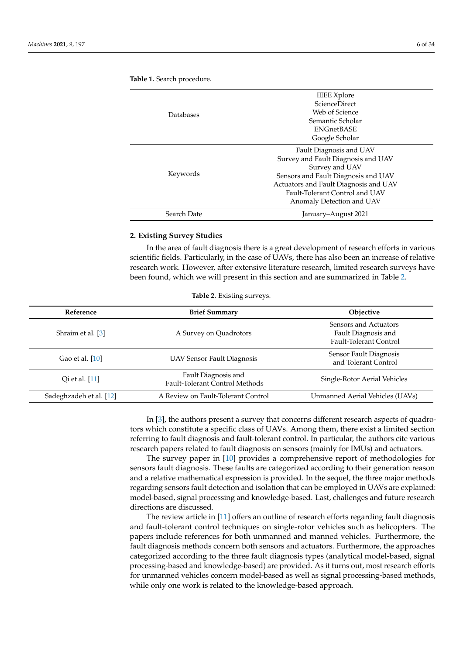|             | <b>IEEE</b> Xplore                    |
|-------------|---------------------------------------|
|             | <b>ScienceDirect</b>                  |
| Databases   | Web of Science                        |
|             | Semantic Scholar                      |
|             | <b>ENGnetBASE</b>                     |
|             | Google Scholar                        |
|             | Fault Diagnosis and UAV               |
|             | Survey and Fault Diagnosis and UAV    |
|             | Survey and UAV                        |
| Keywords    | Sensors and Fault Diagnosis and UAV   |
|             | Actuators and Fault Diagnosis and UAV |
|             | Fault-Tolerant Control and UAV        |
|             | Anomaly Detection and UAV             |
| Search Date | January–August 2021                   |

<span id="page-5-0"></span>**Table 1.** Search procedure.

#### <span id="page-5-1"></span>**2. Existing Survey Studies**

In the area of fault diagnosis there is a great development of research efforts in various scientific fields. Particularly, in the case of UAVs, there has also been an increase of relative research work. However, after extensive literature research, limited research surveys have been found, which we will present in this section and are summarized in Table [2.](#page-5-2)

<span id="page-5-2"></span>

| Reference               | <b>Brief Summary</b>                                         | <b>Objective</b>                                                       |
|-------------------------|--------------------------------------------------------------|------------------------------------------------------------------------|
| Shraim et al. [3]       | A Survey on Quadrotors                                       | Sensors and Actuators<br>Fault Diagnosis and<br>Fault-Tolerant Control |
| Gao et al. [10]         | UAV Sensor Fault Diagnosis                                   | Sensor Fault Diagnosis<br>and Tolerant Control                         |
| Oi et al. [11]          | Fault Diagnosis and<br><b>Fault-Tolerant Control Methods</b> | Single-Rotor Aerial Vehicles                                           |
| Sadeghzadeh et al. [12] | A Review on Fault-Tolerant Control                           | Unmanned Aerial Vehicles (UAVs)                                        |

**Table 2.** Existing surveys.

In [\[3\]](#page-27-2), the authors present a survey that concerns different research aspects of quadrotors which constitute a specific class of UAVs. Among them, there exist a limited section referring to fault diagnosis and fault-tolerant control. In particular, the authors cite various research papers related to fault diagnosis on sensors (mainly for IMUs) and actuators.

The survey paper in [\[10\]](#page-28-4) provides a comprehensive report of methodologies for sensors fault diagnosis. These faults are categorized according to their generation reason and a relative mathematical expression is provided. In the sequel, the three major methods regarding sensors fault detection and isolation that can be employed in UAVs are explained: model-based, signal processing and knowledge-based. Last, challenges and future research directions are discussed.

The review article in [\[11\]](#page-28-5) offers an outline of research efforts regarding fault diagnosis and fault-tolerant control techniques on single-rotor vehicles such as helicopters. The papers include references for both unmanned and manned vehicles. Furthermore, the fault diagnosis methods concern both sensors and actuators. Furthermore, the approaches categorized according to the three fault diagnosis types (analytical model-based, signal processing-based and knowledge-based) are provided. As it turns out, most research efforts for unmanned vehicles concern model-based as well as signal processing-based methods, while only one work is related to the knowledge-based approach.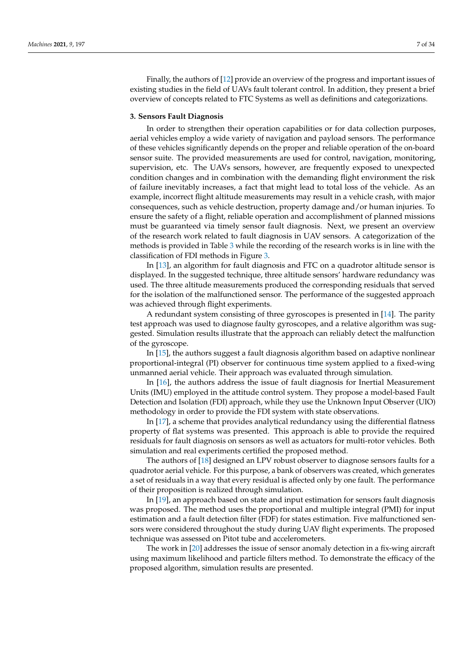Finally, the authors of [\[12\]](#page-28-6) provide an overview of the progress and important issues of existing studies in the field of UAVs fault tolerant control. In addition, they present a brief overview of concepts related to FTC Systems as well as definitions and categorizations.

#### <span id="page-6-0"></span>**3. Sensors Fault Diagnosis**

In order to strengthen their operation capabilities or for data collection purposes, aerial vehicles employ a wide variety of navigation and payload sensors. The performance of these vehicles significantly depends on the proper and reliable operation of the on-board sensor suite. The provided measurements are used for control, navigation, monitoring, supervision, etc. The UAVs sensors, however, are frequently exposed to unexpected condition changes and in combination with the demanding flight environment the risk of failure inevitably increases, a fact that might lead to total loss of the vehicle. As an example, incorrect flight altitude measurements may result in a vehicle crash, with major consequences, such as vehicle destruction, property damage and/or human injuries. To ensure the safety of a flight, reliable operation and accomplishment of planned missions must be guaranteed via timely sensor fault diagnosis. Next, we present an overview of the research work related to fault diagnosis in UAV sensors. A categorization of the methods is provided in Table [3](#page-8-0) while the recording of the research works is in line with the classification of FDI methods in Figure [3.](#page-2-1)

In [\[13\]](#page-28-7), an algorithm for fault diagnosis and FTC on a quadrotor altitude sensor is displayed. In the suggested technique, three altitude sensors' hardware redundancy was used. The three altitude measurements produced the corresponding residuals that served for the isolation of the malfunctioned sensor. The performance of the suggested approach was achieved through flight experiments.

A redundant system consisting of three gyroscopes is presented in [\[14\]](#page-28-8). The parity test approach was used to diagnose faulty gyroscopes, and a relative algorithm was suggested. Simulation results illustrate that the approach can reliably detect the malfunction of the gyroscope.

In [\[15\]](#page-28-9), the authors suggest a fault diagnosis algorithm based on adaptive nonlinear proportional-integral (PI) observer for continuous time system applied to a fixed-wing unmanned aerial vehicle. Their approach was evaluated through simulation.

In [\[16\]](#page-28-10), the authors address the issue of fault diagnosis for Inertial Measurement Units (IMU) employed in the attitude control system. They propose a model-based Fault Detection and Isolation (FDI) approach, while they use the Unknown Input Observer (UIO) methodology in order to provide the FDI system with state observations.

In [\[17\]](#page-28-11), a scheme that provides analytical redundancy using the differential flatness property of flat systems was presented. This approach is able to provide the required residuals for fault diagnosis on sensors as well as actuators for multi-rotor vehicles. Both simulation and real experiments certified the proposed method.

The authors of [\[18\]](#page-28-12) designed an LPV robust observer to diagnose sensors faults for a quadrotor aerial vehicle. For this purpose, a bank of observers was created, which generates a set of residuals in a way that every residual is affected only by one fault. The performance of their proposition is realized through simulation.

In [\[19\]](#page-28-13), an approach based on state and input estimation for sensors fault diagnosis was proposed. The method uses the proportional and multiple integral (PMI) for input estimation and a fault detection filter (FDF) for states estimation. Five malfunctioned sensors were considered throughout the study during UAV flight experiments. The proposed technique was assessed on Pitot tube and accelerometers.

The work in [\[20\]](#page-28-14) addresses the issue of sensor anomaly detection in a fix-wing aircraft using maximum likelihood and particle filters method. To demonstrate the efficacy of the proposed algorithm, simulation results are presented.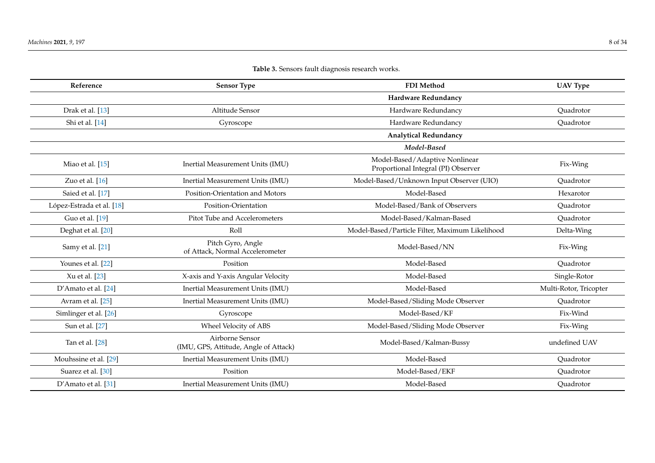|  | Table 3. Sensors fault diagnosis research works. |  |  |  |  |  |
|--|--------------------------------------------------|--|--|--|--|--|
|--|--------------------------------------------------|--|--|--|--|--|

| Reference                 | <b>Sensor Type</b>                                       | <b>FDI</b> Method                                                     | <b>UAV Type</b>        |
|---------------------------|----------------------------------------------------------|-----------------------------------------------------------------------|------------------------|
|                           |                                                          | Hardware Redundancy                                                   |                        |
| Drak et al. [13]          | Altitude Sensor                                          | Hardware Redundancy                                                   | Quadrotor              |
| Shi et al. [14]           | Gyroscope                                                | Hardware Redundancy                                                   | Quadrotor              |
|                           |                                                          | <b>Analytical Redundancy</b>                                          |                        |
|                           |                                                          | Model-Based                                                           |                        |
| Miao et al. [15]          | Inertial Measurement Units (IMU)                         | Model-Based/Adaptive Nonlinear<br>Proportional Integral (PI) Observer | Fix-Wing               |
| Zuo et al. $[16]$         | Inertial Measurement Units (IMU)                         | Model-Based/Unknown Input Observer (UIO)                              | Quadrotor              |
| Saied et al. [17]         | Position-Orientation and Motors                          | Model-Based                                                           | Hexarotor              |
| López-Estrada et al. [18] | Position-Orientation                                     | Model-Based/Bank of Observers                                         | Quadrotor              |
| Guo et al. [19]           | Pitot Tube and Accelerometers                            | Model-Based/Kalman-Based                                              | Quadrotor              |
| Deghat et al. [20]        | Roll                                                     | Model-Based/Particle Filter, Maximum Likelihood                       | Delta-Wing             |
| Samy et al. [21]          | Pitch Gyro, Angle<br>of Attack, Normal Accelerometer     | Model-Based/NN                                                        | Fix-Wing               |
| Younes et al. [22]        | Position                                                 | Model-Based                                                           | Quadrotor              |
| Xu et al. [23]            | X-axis and Y-axis Angular Velocity                       | Model-Based                                                           | Single-Rotor           |
| D'Amato et al. [24]       | Inertial Measurement Units (IMU)                         | Model-Based                                                           | Multi-Rotor, Tricopter |
| Avram et al. [25]         | Inertial Measurement Units (IMU)                         | Model-Based/Sliding Mode Observer                                     | Quadrotor              |
| Simlinger et al. [26]     | Gyroscope                                                | Model-Based/KF                                                        | Fix-Wind               |
| Sun et al. [27]           | Wheel Velocity of ABS                                    | Model-Based/Sliding Mode Observer                                     | Fix-Wing               |
| Tan et al. [28]           | Airborne Sensor<br>(IMU, GPS, Attitude, Angle of Attack) | Model-Based/Kalman-Bussy                                              | undefined UAV          |
| Mouhssine et al. [29]     | Inertial Measurement Units (IMU)                         | Model-Based                                                           | Quadrotor              |
| Suarez et al. [30]        | Position                                                 | Model-Based/EKF                                                       | Quadrotor              |
| D'Amato et al. [31]       | Inertial Measurement Units (IMU)                         | Model-Based                                                           | Quadrotor              |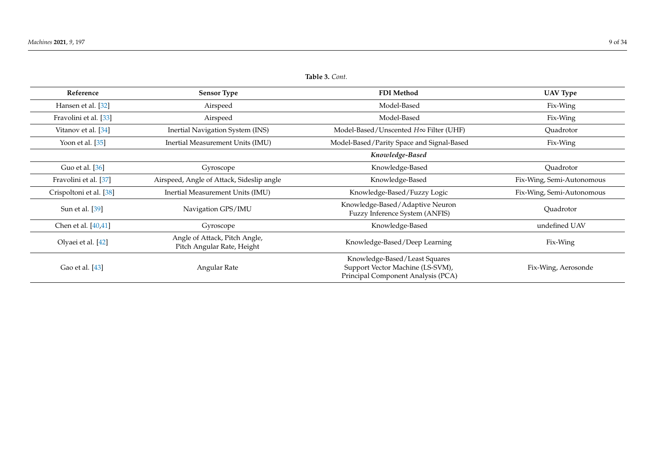## **Table 3.** *Cont.*

<span id="page-8-0"></span>

| Reference               | <b>Sensor Type</b>                                          | FDI Method                                                                                              | <b>UAV Type</b>           |
|-------------------------|-------------------------------------------------------------|---------------------------------------------------------------------------------------------------------|---------------------------|
| Hansen et al. [32]      | Airspeed                                                    | Model-Based                                                                                             | Fix-Wing                  |
| Fravolini et al. [33]   | Airspeed                                                    | Model-Based                                                                                             | Fix-Wing                  |
| Vitanov et al. [34]     | Inertial Navigation System (INS)                            | Model-Based/Unscented H∞ Filter (UHF)                                                                   | Quadrotor                 |
| Yoon et al. $[35]$      | Inertial Measurement Units (IMU)                            | Model-Based/Parity Space and Signal-Based                                                               | Fix-Wing                  |
|                         |                                                             | Knowledge-Based                                                                                         |                           |
| Guo et al. [36]         | Gyroscope                                                   | Knowledge-Based                                                                                         | Ouadrotor                 |
| Fravolini et al. [37]   | Airspeed, Angle of Attack, Sideslip angle                   | Knowledge-Based                                                                                         | Fix-Wing, Semi-Autonomous |
| Crispoltoni et al. [38] | Inertial Measurement Units (IMU)                            | Knowledge-Based/Fuzzy Logic                                                                             | Fix-Wing, Semi-Autonomous |
| Sun et al. [39]         | Navigation GPS/IMU                                          | Knowledge-Based/Adaptive Neuron<br>Fuzzy Inference System (ANFIS)                                       | Quadrotor                 |
| Chen et al. [40,41]     | Gyroscope                                                   | Knowledge-Based                                                                                         | undefined UAV             |
| Olyaei et al. [42]      | Angle of Attack, Pitch Angle,<br>Pitch Angular Rate, Height | Knowledge-Based/Deep Learning                                                                           | Fix-Wing                  |
| Gao et al. [43]         | Angular Rate                                                | Knowledge-Based/Least Squares<br>Support Vector Machine (LS-SVM),<br>Principal Component Analysis (PCA) | Fix-Wing, Aerosonde       |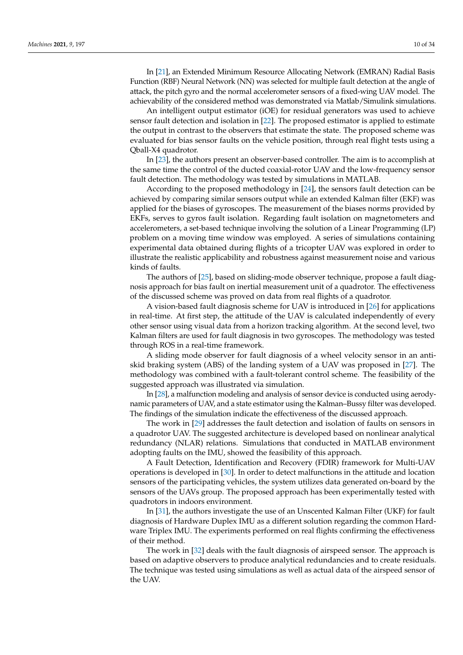In [\[21\]](#page-28-35), an Extended Minimum Resource Allocating Network (EMRAN) Radial Basis Function (RBF) Neural Network (NN) was selected for multiple fault detection at the angle of attack, the pitch gyro and the normal accelerometer sensors of a fixed-wing UAV model. The achievability of the considered method was demonstrated via Matlab/Simulink simulations.

An intelligent output estimator (iOE) for residual generators was used to achieve sensor fault detection and isolation in [\[22\]](#page-28-36). The proposed estimator is applied to estimate the output in contrast to the observers that estimate the state. The proposed scheme was evaluated for bias sensor faults on the vehicle position, through real flight tests using a Qball-X4 quadrotor.

In [\[23\]](#page-28-37), the authors present an observer-based controller. The aim is to accomplish at the same time the control of the ducted coaxial-rotor UAV and the low-frequency sensor fault detection. The methodology was tested by simulations in MATLAB.

According to the proposed methodology in [\[24\]](#page-28-38), the sensors fault detection can be achieved by comparing similar sensors output while an extended Kalman filter (EKF) was applied for the biases of gyroscopes. The measurement of the biases norms provided by EKFs, serves to gyros fault isolation. Regarding fault isolation on magnetometers and accelerometers, a set-based technique involving the solution of a Linear Programming (LP) problem on a moving time window was employed. A series of simulations containing experimental data obtained during flights of a tricopter UAV was explored in order to illustrate the realistic applicability and robustness against measurement noise and various kinds of faults.

The authors of [\[25\]](#page-28-39), based on sliding-mode observer technique, propose a fault diagnosis approach for bias fault on inertial measurement unit of a quadrotor. The effectiveness of the discussed scheme was proved on data from real flights of a quadrotor.

A vision-based fault diagnosis scheme for UAV is introduced in [\[26\]](#page-28-40) for applications in real-time. At first step, the attitude of the UAV is calculated independently of every other sensor using visual data from a horizon tracking algorithm. At the second level, two Kalman filters are used for fault diagnosis in two gyroscopes. The methodology was tested through ROS in a real-time framework.

A sliding mode observer for fault diagnosis of a wheel velocity sensor in an antiskid braking system (ABS) of the landing system of a UAV was proposed in [\[27\]](#page-28-41). The methodology was combined with a fault-tolerant control scheme. The feasibility of the suggested approach was illustrated via simulation.

In [\[28\]](#page-28-42), a malfunction modeling and analysis of sensor device is conducted using aerodynamic parameters of UAV, and a state estimator using the Kalman–Bussy filter was developed. The findings of the simulation indicate the effectiveness of the discussed approach.

The work in [\[29\]](#page-28-43) addresses the fault detection and isolation of faults on sensors in a quadrotor UAV. The suggested architecture is developed based on nonlinear analytical redundancy (NLAR) relations. Simulations that conducted in MATLAB environment adopting faults on the IMU, showed the feasibility of this approach.

A Fault Detection, Identification and Recovery (FDIR) framework for Multi-UAV operations is developed in [\[30\]](#page-28-44). In order to detect malfunctions in the attitude and location sensors of the participating vehicles, the system utilizes data generated on-board by the sensors of the UAVs group. The proposed approach has been experimentally tested with quadrotors in indoors environment.

In [\[31\]](#page-28-45), the authors investigate the use of an Unscented Kalman Filter (UKF) for fault diagnosis of Hardware Duplex IMU as a different solution regarding the common Hardware Triplex IMU. The experiments performed on real flights confirming the effectiveness of their method.

The work in [\[32\]](#page-28-46) deals with the fault diagnosis of airspeed sensor. The approach is based on adaptive observers to produce analytical redundancies and to create residuals. The technique was tested using simulations as well as actual data of the airspeed sensor of the UAV.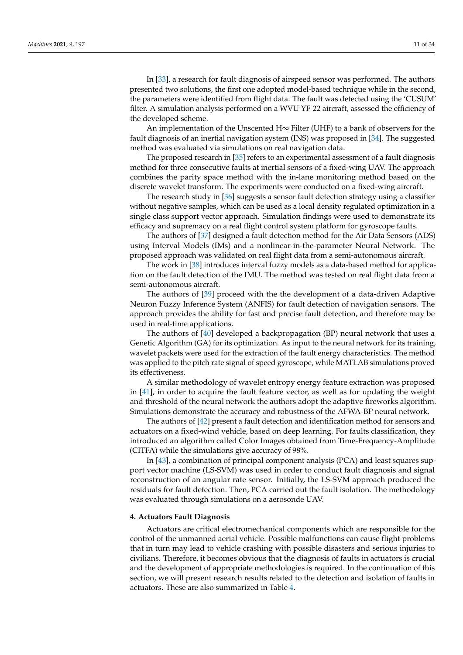In [\[33\]](#page-29-11), a research for fault diagnosis of airspeed sensor was performed. The authors presented two solutions, the first one adopted model-based technique while in the second, the parameters were identified from flight data. The fault was detected using the 'CUSUM' filter. A simulation analysis performed on a WVU YF-22 aircraft, assessed the efficiency of the developed scheme.

An implementation of the Unscented H∞ Filter (UHF) to a bank of observers for the fault diagnosis of an inertial navigation system (INS) was proposed in [\[34\]](#page-29-12). The suggested method was evaluated via simulations on real navigation data.

The proposed research in [\[35\]](#page-29-13) refers to an experimental assessment of a fault diagnosis method for three consecutive faults at inertial sensors of a fixed-wing UAV. The approach combines the parity space method with the in-lane monitoring method based on the discrete wavelet transform. The experiments were conducted on a fixed-wing aircraft.

The research study in [\[36\]](#page-29-14) suggests a sensor fault detection strategy using a classifier without negative samples, which can be used as a local density regulated optimization in a single class support vector approach. Simulation findings were used to demonstrate its efficacy and supremacy on a real flight control system platform for gyroscope faults.

The authors of [\[37\]](#page-29-15) designed a fault detection method for the Air Data Sensors (ADS) using Interval Models (IMs) and a nonlinear-in-the-parameter Neural Network. The proposed approach was validated on real flight data from a semi-autonomous aircraft.

The work in [\[38\]](#page-29-16) introduces interval fuzzy models as a data-based method for application on the fault detection of the IMU. The method was tested on real flight data from a semi-autonomous aircraft.

The authors of [\[39\]](#page-29-17) proceed with the the development of a data-driven Adaptive Neuron Fuzzy Inference System (ANFIS) for fault detection of navigation sensors. The approach provides the ability for fast and precise fault detection, and therefore may be used in real-time applications.

The authors of [\[40\]](#page-29-18) developed a backpropagation (BP) neural network that uses a Genetic Algorithm (GA) for its optimization. As input to the neural network for its training, wavelet packets were used for the extraction of the fault energy characteristics. The method was applied to the pitch rate signal of speed gyroscope, while MATLAB simulations proved its effectiveness.

A similar methodology of wavelet entropy energy feature extraction was proposed in [\[41\]](#page-29-19), in order to acquire the fault feature vector, as well as for updating the weight and threshold of the neural network the authors adopt the adaptive fireworks algorithm. Simulations demonstrate the accuracy and robustness of the AFWA-BP neural network.

The authors of [\[42\]](#page-29-20) present a fault detection and identification method for sensors and actuators on a fixed-wind vehicle, based on deep learning. For faults classification, they introduced an algorithm called Color Images obtained from Time-Frequency-Amplitude (CITFA) while the simulations give accuracy of 98%.

In [\[43\]](#page-29-21), a combination of principal component analysis (PCA) and least squares support vector machine (LS-SVM) was used in order to conduct fault diagnosis and signal reconstruction of an angular rate sensor. Initially, the LS-SVM approach produced the residuals for fault detection. Then, PCA carried out the fault isolation. The methodology was evaluated through simulations on a aerosonde UAV.

## <span id="page-10-0"></span>**4. Actuators Fault Diagnosis**

Actuators are critical electromechanical components which are responsible for the control of the unmanned aerial vehicle. Possible malfunctions can cause flight problems that in turn may lead to vehicle crashing with possible disasters and serious injuries to civilians. Therefore, it becomes obvious that the diagnosis of faults in actuators is crucial and the development of appropriate methodologies is required. In the continuation of this section, we will present research results related to the detection and isolation of faults in actuators. These are also summarized in Table [4.](#page-12-0)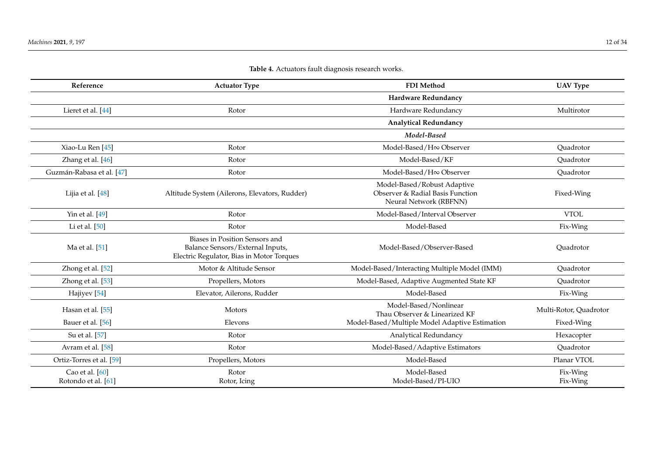Guzmán-Rabasa et al. [\[47\]](#page-29-25)

| Table 4. Actuators fault diagnosis research works. |                                                                     |                                                                                           |                 |
|----------------------------------------------------|---------------------------------------------------------------------|-------------------------------------------------------------------------------------------|-----------------|
| Reference                                          | <b>Actuator Type</b>                                                | <b>FDI</b> Method                                                                         | <b>UAV Type</b> |
|                                                    |                                                                     | Hardware Redundancy                                                                       |                 |
| Lieret et al. [44]                                 | Rotor                                                               | Hardware Redundancy                                                                       | Multirotor      |
|                                                    |                                                                     | <b>Analytical Redundancy</b>                                                              |                 |
|                                                    |                                                                     | Model-Based                                                                               |                 |
| Xiao-Lu Ren [45]                                   | Rotor                                                               | Model-Based/H∞ Observer                                                                   | Quadrotor       |
| Zhang et al. [46]                                  | Rotor                                                               | Model-Based/KF                                                                            | Quadrotor       |
| nán-Rabasa et al. [47]                             | Rotor                                                               | Model-Based/H∞ Observer                                                                   | Quadrotor       |
| Lijia et al. [48]                                  | Altitude System (Ailerons, Elevators, Rudder)                       | Model-Based/Robust Adaptive<br>Observer & Radial Basis Function<br>Neural Network (RBFNN) | Fixed-Wing      |
| Yin et al. $[49]$                                  | Rotor                                                               | Model-Based/Interval Observer                                                             | <b>VTOL</b>     |
| Li et al. $[50]$                                   | Rotor                                                               | Model-Based                                                                               | Fix-Wing        |
| $M_2$ of all $[51]$                                | Biases in Position Sensors and<br>Balance Sensors / External Inputs | Model-Based (Observer-Based)                                                              | Quadrotor       |

| Ma et al. [51]                           | Biases in Position Sensors and<br>Balance Sensors/External Inputs,<br>Electric Regulator, Bias in Motor Torques | Model-Based/Observer-Based                             | Ouadrotor              |
|------------------------------------------|-----------------------------------------------------------------------------------------------------------------|--------------------------------------------------------|------------------------|
| Zhong et al. $[52]$                      | Motor & Altitude Sensor                                                                                         | Model-Based/Interacting Multiple Model (IMM)           | Ouadrotor              |
| Zhong et al. [53]                        | Propellers, Motors                                                                                              | Model-Based, Adaptive Augmented State KF               | Ouadrotor              |
| Hajiyev <sup>[54]</sup>                  | Elevator, Ailerons, Rudder                                                                                      | Model-Based                                            | Fix-Wing               |
| Hasan et al. [55]                        | Motors                                                                                                          | Model-Based/Nonlinear<br>Thau Observer & Linearized KF | Multi-Rotor, Quadrotor |
| Bauer et al. [56]                        | Elevons                                                                                                         | Model-Based/Multiple Model Adaptive Estimation         | Fixed-Wing             |
| Su et al. [57]                           | Rotor                                                                                                           | Analytical Redundancy                                  | Hexacopter             |
| Avram et al. [58]                        | Rotor                                                                                                           | Model-Based/Adaptive Estimators                        | Quadrotor              |
| Ortiz-Torres et al. [59]                 | Propellers, Motors                                                                                              | Model-Based                                            | Planar VTOL            |
| Cao et al. $[60]$<br>Rotondo et al. [61] | Rotor<br>Rotor, Icing                                                                                           | Model-Based<br>Model-Based/PI-UIO                      | Fix-Wing<br>Fix-Wing   |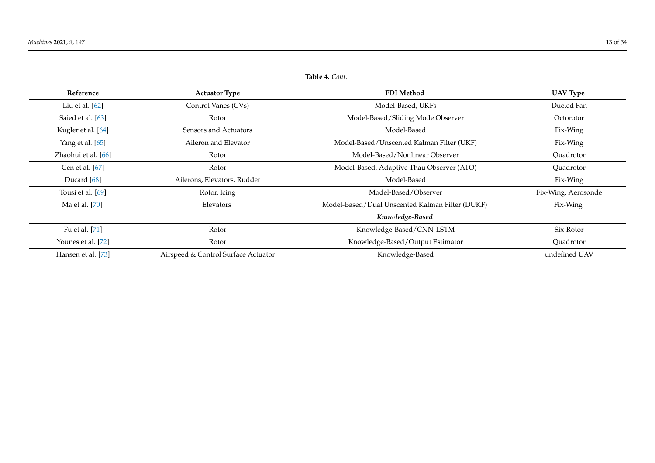## **Table 4.** *Cont.*

<span id="page-12-0"></span>

| Reference           | <b>Actuator Type</b>                | <b>FDI</b> Method                               | <b>UAV Type</b>     |
|---------------------|-------------------------------------|-------------------------------------------------|---------------------|
| Liu et al. [62]     | Control Vanes (CVs)                 | Model-Based, UKFs                               | Ducted Fan          |
| Saied et al. [63]   | Rotor                               | Model-Based/Sliding Mode Observer               | Octorotor           |
| Kugler et al. [64]  | Sensors and Actuators               | Model-Based                                     | Fix-Wing            |
| Yang et al. [65]    | Aileron and Elevator                | Model-Based/Unscented Kalman Filter (UKF)       | Fix-Wing            |
| Zhaohui et al. [66] | Rotor                               | Model-Based/Nonlinear Observer                  | Quadrotor           |
| Cen et al. [67]     | Rotor                               | Model-Based, Adaptive Thau Observer (ATO)       | Ouadrotor           |
| Ducard $[68]$       | Ailerons, Elevators, Rudder         | Model-Based                                     | Fix-Wing            |
| Tousi et al. [69]   | Rotor, Icing                        | Model-Based/Observer                            | Fix-Wing, Aerosonde |
| Ma et al. [70]      | Elevators                           | Model-Based/Dual Unscented Kalman Filter (DUKF) | Fix-Wing            |
|                     |                                     | Knowledge-Based                                 |                     |
| Fu et al. [71]      | Rotor                               | Knowledge-Based/CNN-LSTM                        | Six-Rotor           |
| Younes et al. [72]  | Rotor                               | Knowledge-Based/Output Estimator                | Quadrotor           |
| Hansen et al. [73]  | Airspeed & Control Surface Actuator | Knowledge-Based                                 | undefined UAV       |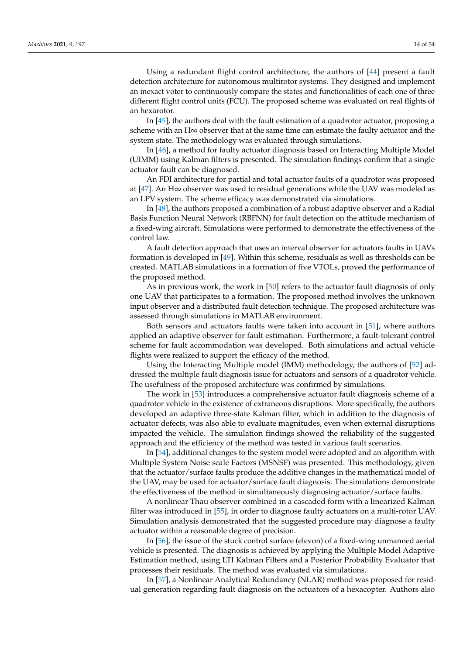Using a redundant flight control architecture, the authors of [\[44\]](#page-29-35) present a fault detection architecture for autonomous multirotor systems. They designed and implement an inexact voter to continuously compare the states and functionalities of each one of three different flight control units (FCU). The proposed scheme was evaluated on real flights of an hexarotor.

In [\[45\]](#page-29-36), the authors deal with the fault estimation of a quadrotor actuator, proposing a scheme with an H∞ observer that at the same time can estimate the faulty actuator and the system state. The methodology was evaluated through simulations.

In [\[46\]](#page-29-37), a method for faulty actuator diagnosis based on Interacting Multiple Model (UIMM) using Kalman filters is presented. The simulation findings confirm that a single actuator fault can be diagnosed.

An FDI architecture for partial and total actuator faults of a quadrotor was proposed at [\[47\]](#page-29-38). An H∞ observer was used to residual generations while the UAV was modeled as an LPV system. The scheme efficacy was demonstrated via simulations.

In [\[48\]](#page-29-39), the authors proposed a combination of a robust adaptive observer and a Radial Basis Function Neural Network (RBFNN) for fault detection on the attitude mechanism of a fixed-wing aircraft. Simulations were performed to demonstrate the effectiveness of the control law.

A fault detection approach that uses an interval observer for actuators faults in UAVs formation is developed in [\[49\]](#page-29-40). Within this scheme, residuals as well as thresholds can be created. MATLAB simulations in a formation of five VTOLs, proved the performance of the proposed method.

As in previous work, the work in [\[50\]](#page-29-41) refers to the actuator fault diagnosis of only one UAV that participates to a formation. The proposed method involves the unknown input observer and a distributed fault detection technique. The proposed architecture was assessed through simulations in MATLAB environment.

Both sensors and actuators faults were taken into account in [\[51\]](#page-29-42), where authors applied an adaptive observer for fault estimation. Furthermore, a fault-tolerant control scheme for fault accommodation was developed. Both simulations and actual vehicle flights were realized to support the efficacy of the method.

Using the Interacting Multiple model (IMM) methodology, the authors of [\[52\]](#page-29-43) addressed the multiple fault diagnosis issue for actuators and sensors of a quadrotor vehicle. The usefulness of the proposed architecture was confirmed by simulations.

The work in [\[53\]](#page-29-44) introduces a comprehensive actuator fault diagnosis scheme of a quadrotor vehicle in the existence of extraneous disruptions. More specifically, the authors developed an adaptive three-state Kalman filter, which in addition to the diagnosis of actuator defects, was also able to evaluate magnitudes, even when external disruptions impacted the vehicle. The simulation findings showed the reliability of the suggested approach and the efficiency of the method was tested in various fault scenarios.

In [\[54\]](#page-29-45), additional changes to the system model were adopted and an algorithm with Multiple System Noise scale Factors (MSNSF) was presented. This methodology, given that the actuator/surface faults produce the additive changes in the mathematical model of the UAV, may be used for actuator/surface fault diagnosis. The simulations demonstrate the effectiveness of the method in simultaneously diagnosing actuator/surface faults.

A nonlinear Thau observer combined in a cascaded form with a linearized Kalman filter was introduced in [\[55\]](#page-29-46), in order to diagnose faulty actuators on a multi-rotor UAV. Simulation analysis demonstrated that the suggested procedure may diagnose a faulty actuator within a reasonable degree of precision.

In [\[56\]](#page-29-47), the issue of the stuck control surface (elevon) of a fixed-wing unmanned aerial vehicle is presented. The diagnosis is achieved by applying the Multiple Model Adaptive Estimation method, using LTI Kalman Filters and a Posterior Probability Evaluator that processes their residuals. The method was evaluated via simulations.

In [\[57\]](#page-30-17), a Nonlinear Analytical Redundancy (NLAR) method was proposed for residual generation regarding fault diagnosis on the actuators of a hexacopter. Authors also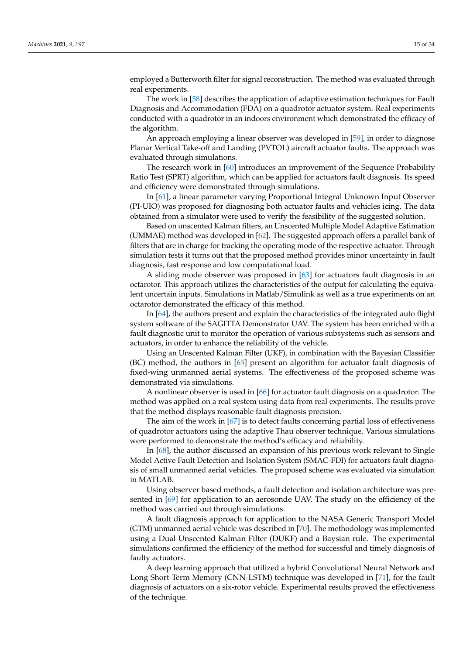employed a Butterworth filter for signal reconstruction. The method was evaluated through real experiments.

The work in [\[58\]](#page-30-18) describes the application of adaptive estimation techniques for Fault Diagnosis and Accommodation (FDA) on a quadrotor actuator system. Real experiments conducted with a quadrotor in an indoors environment which demonstrated the efficacy of the algorithm.

An approach employing a linear observer was developed in [\[59\]](#page-30-19), in order to diagnose Planar Vertical Take-off and Landing (PVTOL) aircraft actuator faults. The approach was evaluated through simulations.

The research work in [\[60\]](#page-30-20) introduces an improvement of the Sequence Probability Ratio Test (SPRT) algorithm, which can be applied for actuators fault diagnosis. Its speed and efficiency were demonstrated through simulations.

In [\[61\]](#page-30-21), a linear parameter varying Proportional Integral Unknown Input Observer (PI-UIO) was proposed for diagnosing both actuator faults and vehicles icing. The data obtained from a simulator were used to verify the feasibility of the suggested solution.

Based on unscented Kalman filters, an Unscented Multiple Model Adaptive Estimation (UMMAE) method was developed in [\[62\]](#page-30-22). The suggested approach offers a parallel bank of filters that are in charge for tracking the operating mode of the respective actuator. Through simulation tests it turns out that the proposed method provides minor uncertainty in fault diagnosis, fast response and low computational load.

A sliding mode observer was proposed in [\[63\]](#page-30-23) for actuators fault diagnosis in an octarotor. This approach utilizes the characteristics of the output for calculating the equivalent uncertain inputs. Simulations in Matlab/Simulink as well as a true experiments on an octarotor demonstrated the efficacy of this method.

In [\[64\]](#page-30-24), the authors present and explain the characteristics of the integrated auto flight system software of the SAGITTA Demonstrator UAV. The system has been enriched with a fault diagnostic unit to monitor the operation of various subsystems such as sensors and actuators, in order to enhance the reliability of the vehicle.

Using an Unscented Kalman Filter (UKF), in combination with the Bayesian Classifier (BC) method, the authors in [\[65\]](#page-30-25) present an algorithm for actuator fault diagnosis of fixed-wing unmanned aerial systems. The effectiveness of the proposed scheme was demonstrated via simulations.

A nonlinear observer is used in [\[66\]](#page-30-26) for actuator fault diagnosis on a quadrotor. The method was applied on a real system using data from real experiments. The results prove that the method displays reasonable fault diagnosis precision.

The aim of the work in [\[67\]](#page-30-27) is to detect faults concerning partial loss of effectiveness of quadrotor actuators using the adaptive Thau observer technique. Various simulations were performed to demonstrate the method's efficacy and reliability.

In [\[68\]](#page-30-28), the author discussed an expansion of his previous work relevant to Single Model Active Fault Detection and Isolation System (SMAC-FDI) for actuators fault diagnosis of small unmanned aerial vehicles. The proposed scheme was evaluated via simulation in MATLAB.

Using observer based methods, a fault detection and isolation architecture was presented in [\[69\]](#page-30-29) for application to an aerosonde UAV. The study on the efficiency of the method was carried out through simulations.

A fault diagnosis approach for application to the NASA Generic Transport Model (GTM) unmanned aerial vehicle was described in [\[70\]](#page-30-30). The methodology was implemented using a Dual Unscented Kalman Filter (DUKF) and a Baysian rule. The experimental simulations confirmed the efficiency of the method for successful and timely diagnosis of faulty actuators.

A deep learning approach that utilized a hybrid Convolutional Neural Network and Long Short-Term Memory (CNN-LSTM) technique was developed in [\[71\]](#page-30-31), for the fault diagnosis of actuators on a six-rotor vehicle. Experimental results proved the effectiveness of the technique.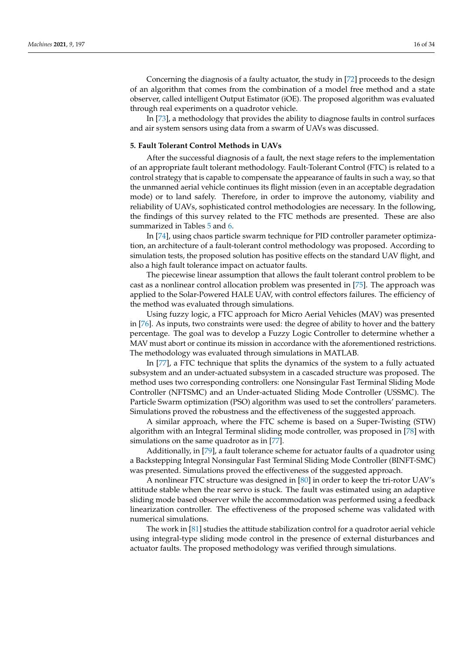Concerning the diagnosis of a faulty actuator, the study in [\[72\]](#page-30-32) proceeds to the design of an algorithm that comes from the combination of a model free method and a state observer, called intelligent Output Estimator (iOE). The proposed algorithm was evaluated through real experiments on a quadrotor vehicle.

In [\[73\]](#page-30-33), a methodology that provides the ability to diagnose faults in control surfaces and air system sensors using data from a swarm of UAVs was discussed.

#### <span id="page-15-0"></span>**5. Fault Tolerant Control Methods in UAVs**

After the successful diagnosis of a fault, the next stage refers to the implementation of an appropriate fault tolerant methodology. Fault-Tolerant Control (FTC) is related to a control strategy that is capable to compensate the appearance of faults in such a way, so that the unmanned aerial vehicle continues its flight mission (even in an acceptable degradation mode) or to land safely. Therefore, in order to improve the autonomy, viability and reliability of UAVs, sophisticated control methodologies are necessary. In the following, the findings of this survey related to the FTC methods are presented. These are also summarized in Tables [5](#page-17-0) and [6.](#page-18-0)

In [\[74\]](#page-30-34), using chaos particle swarm technique for PID controller parameter optimization, an architecture of a fault-tolerant control methodology was proposed. According to simulation tests, the proposed solution has positive effects on the standard UAV flight, and also a high fault tolerance impact on actuator faults.

The piecewise linear assumption that allows the fault tolerant control problem to be cast as a nonlinear control allocation problem was presented in [\[75\]](#page-30-35). The approach was applied to the Solar-Powered HALE UAV, with control effectors failures. The efficiency of the method was evaluated through simulations.

Using fuzzy logic, a FTC approach for Micro Aerial Vehicles (MAV) was presented in [\[76\]](#page-30-36). As inputs, two constraints were used: the degree of ability to hover and the battery percentage. The goal was to develop a Fuzzy Logic Controller to determine whether a MAV must abort or continue its mission in accordance with the aforementioned restrictions. The methodology was evaluated through simulations in MATLAB.

In [\[77\]](#page-30-37), a FTC technique that splits the dynamics of the system to a fully actuated subsystem and an under-actuated subsystem in a cascaded structure was proposed. The method uses two corresponding controllers: one Nonsingular Fast Terminal Sliding Mode Controller (NFTSMC) and an Under-actuated Sliding Mode Controller (USSMC). The Particle Swarm optimization (PSO) algorithm was used to set the controllers' parameters. Simulations proved the robustness and the effectiveness of the suggested approach.

A similar approach, where the FTC scheme is based on a Super-Twisting (STW) algorithm with an Integral Terminal sliding mode controller, was proposed in [\[78\]](#page-31-0) with simulations on the same quadrotor as in [\[77\]](#page-30-37).

Additionally, in [\[79\]](#page-31-1), a fault tolerance scheme for actuator faults of a quadrotor using a Backstepping Integral Nonsingular Fast Terminal Sliding Mode Controller (BINFT-SMC) was presented. Simulations proved the effectiveness of the suggested approach.

A nonlinear FTC structure was designed in [\[80\]](#page-31-2) in order to keep the tri-rotor UAV's attitude stable when the rear servo is stuck. The fault was estimated using an adaptive sliding mode based observer while the accommodation was performed using a feedback linearization controller. The effectiveness of the proposed scheme was validated with numerical simulations.

The work in [\[81\]](#page-31-3) studies the attitude stabilization control for a quadrotor aerial vehicle using integral-type sliding mode control in the presence of external disturbances and actuator faults. The proposed methodology was verified through simulations.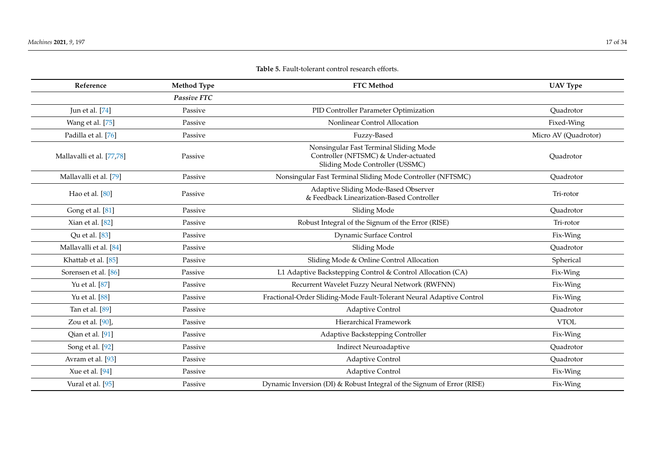| Reference                 | <b>Method Type</b> | <b>FTC Method</b>                                                                                                 | <b>UAV Type</b>      |
|---------------------------|--------------------|-------------------------------------------------------------------------------------------------------------------|----------------------|
|                           | <b>Passive FTC</b> |                                                                                                                   |                      |
| Jun et al. [74]           | Passive            | PID Controller Parameter Optimization                                                                             | Quadrotor            |
| Wang et al. [75]          | Passive            | Nonlinear Control Allocation                                                                                      | Fixed-Wing           |
| Padilla et al. [76]       | Passive            | Fuzzy-Based                                                                                                       | Micro AV (Quadrotor) |
| Mallavalli et al. [77,78] | Passive            | Nonsingular Fast Terminal Sliding Mode<br>Controller (NFTSMC) & Under-actuated<br>Sliding Mode Controller (USSMC) | Quadrotor            |
| Mallavalli et al. [79]    | Passive            | Nonsingular Fast Terminal Sliding Mode Controller (NFTSMC)                                                        | Quadrotor            |
| Hao et al. [80]           | Passive            | Adaptive Sliding Mode-Based Observer<br>& Feedback Linearization-Based Controller                                 | Tri-rotor            |
| Gong et al. [81]          | Passive            | Sliding Mode                                                                                                      | Quadrotor            |
| Xian et al. [82]          | Passive            | Robust Integral of the Signum of the Error (RISE)                                                                 | Tri-rotor            |
| Qu et al. [83]            | Passive            | Dynamic Surface Control                                                                                           | Fix-Wing             |
| Mallavalli et al. [84]    | Passive            | Sliding Mode                                                                                                      | Ouadrotor            |
| Khattab et al. [85]       | Passive            | Sliding Mode & Online Control Allocation                                                                          | Spherical            |
| Sorensen et al. [86]      | Passive            | L1 Adaptive Backstepping Control & Control Allocation (CA)                                                        | Fix-Wing             |
| Yu et al. [87]            | Passive            | Recurrent Wavelet Fuzzy Neural Network (RWFNN)                                                                    | Fix-Wing             |
| Yu et al. [88]            | Passive            | Fractional-Order Sliding-Mode Fault-Tolerant Neural Adaptive Control                                              | Fix-Wing             |
| Tan et al. [89]           | Passive            | Adaptive Control                                                                                                  | Quadrotor            |
| Zou et al. [90],          | Passive            | Hierarchical Framework                                                                                            | <b>VTOL</b>          |
| Qian et al. [91]          | Passive            | Adaptive Backstepping Controller                                                                                  | Fix-Wing             |
| Song et al. [92]          | Passive            | <b>Indirect Neuroadaptive</b>                                                                                     | Quadrotor            |
| Avram et al. [93]         | Passive            | Adaptive Control                                                                                                  | Quadrotor            |
| Xue et al. [94]           | Passive            | Adaptive Control                                                                                                  | Fix-Wing             |
| Vural et al. [95]         | Passive            | Dynamic Inversion (DI) & Robust Integral of the Signum of Error (RISE)                                            | Fix-Wing             |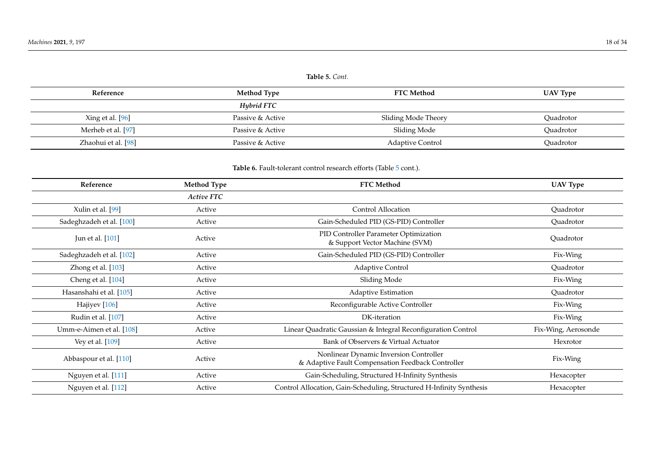<span id="page-17-1"></span>

| Reference           | Method Type      | <b>FTC Method</b>       | <b>UAV Type</b> |
|---------------------|------------------|-------------------------|-----------------|
|                     | Hybrid FTC       |                         |                 |
| Xing et al. [96]    | Passive & Active | Sliding Mode Theory     | Ouadrotor       |
| Merheb et al. [97]  | Passive & Active | Sliding Mode            | Quadrotor       |
| Zhaohui et al. [98] | Passive & Active | <b>Adaptive Control</b> | Ouadrotor       |

## Table 6. Fault-tolerant control research efforts (Table [5](#page-17-1) cont.).

<span id="page-17-0"></span>

| Reference                | <b>Method Type</b> | <b>FTC Method</b>                                                                           | <b>UAV Type</b>     |
|--------------------------|--------------------|---------------------------------------------------------------------------------------------|---------------------|
|                          | Active FTC         |                                                                                             |                     |
| Xulin et al. [99]        | Active             | Control Allocation                                                                          | Quadrotor           |
| Sadeghzadeh et al. [100] | Active             | Gain-Scheduled PID (GS-PID) Controller                                                      | Quadrotor           |
| Jun et al. [101]         | Active             | PID Controller Parameter Optimization<br>& Support Vector Machine (SVM)                     | Quadrotor           |
| Sadeghzadeh et al. [102] | Active             | Gain-Scheduled PID (GS-PID) Controller                                                      | Fix-Wing            |
| Zhong et al. [103]       | Active             | Adaptive Control                                                                            | Quadrotor           |
| Cheng et al. [104]       | Active             | Sliding Mode                                                                                | Fix-Wing            |
| Hasanshahi et al. [105]  | Active             | <b>Adaptive Estimation</b>                                                                  | Quadrotor           |
| Hajiyev <sup>[106]</sup> | Active             | Reconfigurable Active Controller                                                            | Fix-Wing            |
| Rudin et al. [107]       | Active             | DK-iteration                                                                                | Fix-Wing            |
| Umm-e-Aimen et al. [108] | Active             | Linear Quadratic Gaussian & Integral Reconfiguration Control                                | Fix-Wing, Aerosonde |
| Vey et al. [109]         | Active             | Bank of Observers & Virtual Actuator                                                        | Hexrotor            |
| Abbaspour et al. [110]   | Active             | Nonlinear Dynamic Inversion Controller<br>& Adaptive Fault Compensation Feedback Controller | Fix-Wing            |
| Nguyen et al. [111]      | Active             | Gain-Scheduling, Structured H-Infinity Synthesis                                            | Hexacopter          |
| Nguyen et al. [112]      | Active             | Control Allocation, Gain-Scheduling, Structured H-Infinity Synthesis                        | Hexacopter          |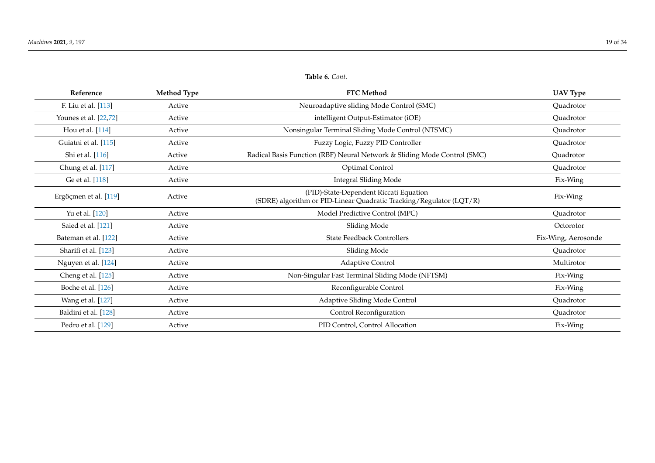<span id="page-18-0"></span>

| Reference             | <b>Method Type</b> | <b>FTC Method</b>                                                                                             | <b>UAV Type</b>     |
|-----------------------|--------------------|---------------------------------------------------------------------------------------------------------------|---------------------|
| F. Liu et al. [113]   | Active             | Neuroadaptive sliding Mode Control (SMC)                                                                      | Quadrotor           |
| Younes et al. [22,72] | Active             | intelligent Output-Estimator (iOE)                                                                            | Quadrotor           |
| Hou et al. [114]      | Active             | Nonsingular Terminal Sliding Mode Control (NTSMC)                                                             | Quadrotor           |
| Guiatni et al. [115]  | Active             | Fuzzy Logic, Fuzzy PID Controller                                                                             | Quadrotor           |
| Shi et al. [116]      | Active             | Radical Basis Function (RBF) Neural Network & Sliding Mode Control (SMC)                                      | Quadrotor           |
| Chung et al. [117]    | Active             | Optimal Control                                                                                               | Quadrotor           |
| Ge et al. [118]       | Active             | <b>Integral Sliding Mode</b>                                                                                  | Fix-Wing            |
| Ergöçmen et al. [119] | Active             | (PID)-State-Dependent Riccati Equation<br>(SDRE) algorithm or PID-Linear Quadratic Tracking/Regulator (LQT/R) | Fix-Wing            |
| Yu et al. [120]       | Active             | Model Predictive Control (MPC)                                                                                | Quadrotor           |
| Saied et al. [121]    | Active             | Sliding Mode                                                                                                  | Octorotor           |
| Bateman et al. [122]  | Active             | <b>State Feedback Controllers</b>                                                                             | Fix-Wing, Aerosonde |
| Sharifi et al. [123]  | Active             | Sliding Mode                                                                                                  | Quadrotor           |
| Nguyen et al. [124]   | Active             | Adaptive Control                                                                                              | Multirotor          |
| Cheng et al. [125]    | Active             | Non-Singular Fast Terminal Sliding Mode (NFTSM)                                                               | Fix-Wing            |
| Boche et al. [126]    | Active             | Reconfigurable Control                                                                                        | Fix-Wing            |
| Wang et al. [127]     | Active             | Adaptive Sliding Mode Control                                                                                 | Quadrotor           |
| Baldini et al. [128]  | Active             | Control Reconfiguration                                                                                       | Quadrotor           |
| Pedro et al. [129]    | Active             | PID Control, Control Allocation                                                                               | Fix-Wing            |

**Table 6.** *Cont.*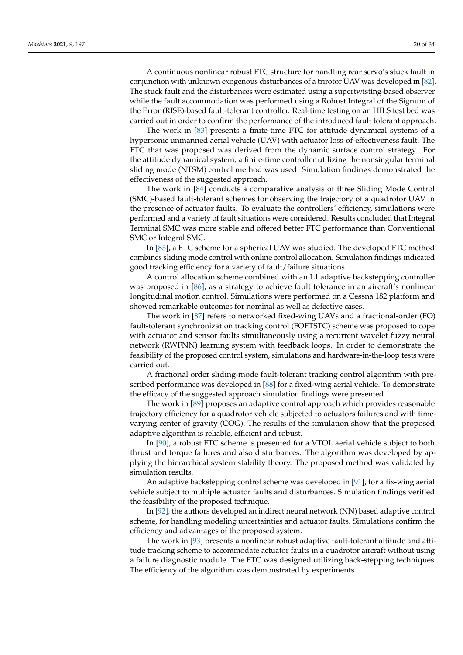A continuous nonlinear robust FTC structure for handling rear servo's stuck fault in conjunction with unknown exogenous disturbances of a trirotor UAV was developed in [\[82\]](#page-31-27). The stuck fault and the disturbances were estimated using a supertwisting-based observer while the fault accommodation was performed using a Robust Integral of the Signum of the Error (RISE)-based fault-tolerant controller. Real-time testing on an HILS test bed was carried out in order to confirm the performance of the introduced fault tolerant approach.

The work in [\[83\]](#page-31-28) presents a finite-time FTC for attitude dynamical systems of a hypersonic unmanned aerial vehicle (UAV) with actuator loss-of-effectiveness fault. The FTC that was proposed was derived from the dynamic surface control strategy. For the attitude dynamical system, a finite-time controller utilizing the nonsingular terminal sliding mode (NTSM) control method was used. Simulation findings demonstrated the effectiveness of the suggested approach.

The work in [\[84\]](#page-31-29) conducts a comparative analysis of three Sliding Mode Control (SMC)-based fault-tolerant schemes for observing the trajectory of a quadrotor UAV in the presence of actuator faults. To evaluate the controllers' efficiency, simulations were performed and a variety of fault situations were considered. Results concluded that Integral Terminal SMC was more stable and offered better FTC performance than Conventional SMC or Integral SMC.

In [\[85\]](#page-31-30), a FTC scheme for a spherical UAV was studied. The developed FTC method combines sliding mode control with online control allocation. Simulation findings indicated good tracking efficiency for a variety of fault/failure situations.

A control allocation scheme combined with an L1 adaptive backstepping controller was proposed in [\[86\]](#page-31-31), as a strategy to achieve fault tolerance in an aircraft's nonlinear longitudinal motion control. Simulations were performed on a Cessna 182 platform and showed remarkable outcomes for nominal as well as defective cases.

The work in [\[87\]](#page-31-32) refers to networked fixed-wing UAVs and a fractional-order (FO) fault-tolerant synchronization tracking control (FOFTSTC) scheme was proposed to cope with actuator and sensor faults simultaneously using a recurrent wavelet fuzzy neural network (RWFNN) learning system with feedback loops. In order to demonstrate the feasibility of the proposed control system, simulations and hardware-in-the-loop tests were carried out.

A fractional order sliding-mode fault-tolerant tracking control algorithm with prescribed performance was developed in [\[88\]](#page-31-33) for a fixed-wing aerial vehicle. To demonstrate the efficacy of the suggested approach simulation findings were presented.

The work in [\[89\]](#page-31-34) proposes an adaptive control approach which provides reasonable trajectory efficiency for a quadrotor vehicle subjected to actuators failures and with timevarying center of gravity (COG). The results of the simulation show that the proposed adaptive algorithm is reliable, efficient and robust.

In [\[90\]](#page-31-35), a robust FTC scheme is presented for a VTOL aerial vehicle subject to both thrust and torque failures and also disturbances. The algorithm was developed by applying the hierarchical system stability theory. The proposed method was validated by simulation results.

An adaptive backstepping control scheme was developed in [\[91\]](#page-31-36), for a fix-wing aerial vehicle subject to multiple actuator faults and disturbances. Simulation findings verified the feasibility of the proposed technique.

In [\[92\]](#page-31-37), the authors developed an indirect neural network (NN) based adaptive control scheme, for handling modeling uncertainties and actuator faults. Simulations confirm the efficiency and advantages of the proposed system.

The work in [\[93\]](#page-31-38) presents a nonlinear robust adaptive fault-tolerant altitude and attitude tracking scheme to accommodate actuator faults in a quadrotor aircraft without using a failure diagnostic module. The FTC was designed utilizing back-stepping techniques. The efficiency of the algorithm was demonstrated by experiments.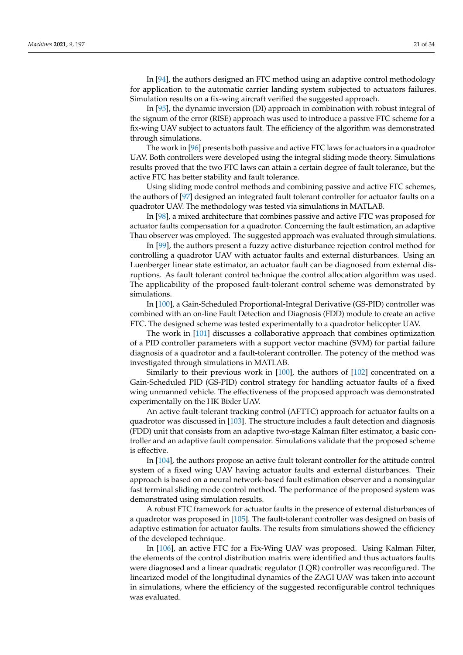In [\[94\]](#page-31-39), the authors designed an FTC method using an adaptive control methodology for application to the automatic carrier landing system subjected to actuators failures. Simulation results on a fix-wing aircraft verified the suggested approach.

In [\[95\]](#page-31-40), the dynamic inversion (DI) approach in combination with robust integral of the signum of the error (RISE) approach was used to introduce a passive FTC scheme for a fix-wing UAV subject to actuators fault. The efficiency of the algorithm was demonstrated through simulations.

The work in [\[96\]](#page-31-41) presents both passive and active FTC laws for actuators in a quadrotor UAV. Both controllers were developed using the integral sliding mode theory. Simulations results proved that the two FTC laws can attain a certain degree of fault tolerance, but the active FTC has better stability and fault tolerance.

Using sliding mode control methods and combining passive and active FTC schemes, the authors of [\[97\]](#page-31-42) designed an integrated fault tolerant controller for actuator faults on a quadrotor UAV. The methodology was tested via simulations in MATLAB.

In [\[98\]](#page-31-43), a mixed architecture that combines passive and active FTC was proposed for actuator faults compensation for a quadrotor. Concerning the fault estimation, an adaptive Thau observer was employed. The suggested approach was evaluated through simulations.

In [\[99\]](#page-31-44), the authors present a fuzzy active disturbance rejection control method for controlling a quadrotor UAV with actuator faults and external disturbances. Using an Luenberger linear state estimator, an actuator fault can be diagnosed from external disruptions. As fault tolerant control technique the control allocation algorithm was used. The applicability of the proposed fault-tolerant control scheme was demonstrated by simulations.

In [\[100\]](#page-31-45), a Gain-Scheduled Proportional-Integral Derivative (GS-PID) controller was combined with an on-line Fault Detection and Diagnosis (FDD) module to create an active FTC. The designed scheme was tested experimentally to a quadrotor helicopter UAV.

The work in [\[101\]](#page-32-23) discusses a collaborative approach that combines optimization of a PID controller parameters with a support vector machine (SVM) for partial failure diagnosis of a quadrotor and a fault-tolerant controller. The potency of the method was investigated through simulations in MATLAB.

Similarly to their previous work in [\[100\]](#page-31-45), the authors of [\[102\]](#page-32-24) concentrated on a Gain-Scheduled PID (GS-PID) control strategy for handling actuator faults of a fixed wing unmanned vehicle. The effectiveness of the proposed approach was demonstrated experimentally on the HK Bixler UAV.

An active fault-tolerant tracking control (AFTTC) approach for actuator faults on a quadrotor was discussed in [\[103\]](#page-32-25). The structure includes a fault detection and diagnosis (FDD) unit that consists from an adaptive two-stage Kalman filter estimator, a basic controller and an adaptive fault compensator. Simulations validate that the proposed scheme is effective.

In [\[104\]](#page-32-26), the authors propose an active fault tolerant controller for the attitude control system of a fixed wing UAV having actuator faults and external disturbances. Their approach is based on a neural network-based fault estimation observer and a nonsingular fast terminal sliding mode control method. The performance of the proposed system was demonstrated using simulation results.

A robust FTC framework for actuator faults in the presence of external disturbances of a quadrotor was proposed in [\[105\]](#page-32-27). The fault-tolerant controller was designed on basis of adaptive estimation for actuator faults. The results from simulations showed the efficiency of the developed technique.

In [\[106\]](#page-32-28), an active FTC for a Fix-Wing UAV was proposed. Using Kalman Filter, the elements of the control distribution matrix were identified and thus actuators faults were diagnosed and a linear quadratic regulator (LQR) controller was reconfigured. The linearized model of the longitudinal dynamics of the ZAGI UAV was taken into account in simulations, where the efficiency of the suggested reconfigurable control techniques was evaluated.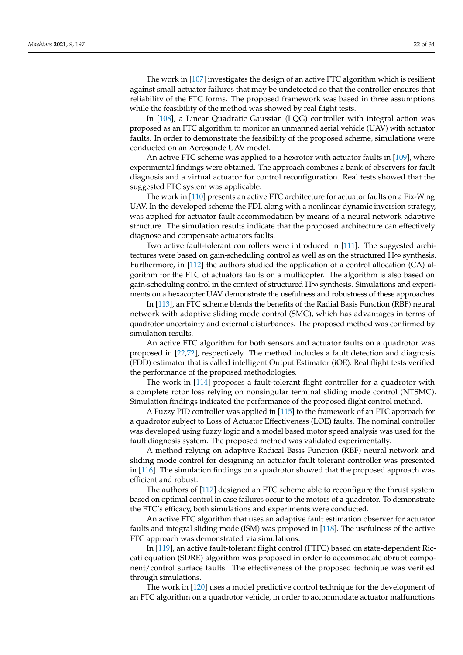The work in [\[107\]](#page-32-29) investigates the design of an active FTC algorithm which is resilient against small actuator failures that may be undetected so that the controller ensures that reliability of the FTC forms. The proposed framework was based in three assumptions while the feasibility of the method was showed by real flight tests.

In [\[108\]](#page-32-30), a Linear Quadratic Gaussian (LQG) controller with integral action was proposed as an FTC algorithm to monitor an unmanned aerial vehicle (UAV) with actuator faults. In order to demonstrate the feasibility of the proposed scheme, simulations were conducted on an Aerosonde UAV model.

An active FTC scheme was applied to a hexrotor with actuator faults in [\[109\]](#page-32-31), where experimental findings were obtained. The approach combines a bank of observers for fault diagnosis and a virtual actuator for control reconfiguration. Real tests showed that the suggested FTC system was applicable.

The work in [\[110\]](#page-32-32) presents an active FTC architecture for actuator faults on a Fix-Wing UAV. In the developed scheme the FDI, along with a nonlinear dynamic inversion strategy, was applied for actuator fault accommodation by means of a neural network adaptive structure. The simulation results indicate that the proposed architecture can effectively diagnose and compensate actuators faults.

Two active fault-tolerant controllers were introduced in [\[111\]](#page-32-33). The suggested architectures were based on gain-scheduling control as well as on the structured  $H\infty$  synthesis. Furthermore, in [\[112\]](#page-32-34) the authors studied the application of a control allocation (CA) algorithm for the FTC of actuators faults on a multicopter. The algorithm is also based on gain-scheduling control in the context of structured H∞ synthesis. Simulations and experiments on a hexacopter UAV demonstrate the usefulness and robustness of these approaches.

In [\[113\]](#page-32-35), an FTC scheme blends the benefits of the Radial Basis Function (RBF) neural network with adaptive sliding mode control (SMC), which has advantages in terms of quadrotor uncertainty and external disturbances. The proposed method was confirmed by simulation results.

An active FTC algorithm for both sensors and actuator faults on a quadrotor was proposed in [\[22,](#page-28-36)[72\]](#page-30-32), respectively. The method includes a fault detection and diagnosis (FDD) estimator that is called intelligent Output Estimator (iOE). Real flight tests verified the performance of the proposed methodologies.

The work in [\[114\]](#page-32-36) proposes a fault-tolerant flight controller for a quadrotor with a complete rotor loss relying on nonsingular terminal sliding mode control (NTSMC). Simulation findings indicated the performance of the proposed flight control method.

A Fuzzy PID controller was applied in [\[115\]](#page-32-37) to the framework of an FTC approach for a quadrotor subject to Loss of Actuator Effectiveness (LOE) faults. The nominal controller was developed using fuzzy logic and a model based motor speed analysis was used for the fault diagnosis system. The proposed method was validated experimentally.

A method relying on adaptive Radical Basis Function (RBF) neural network and sliding mode control for designing an actuator fault tolerant controller was presented in [\[116\]](#page-32-38). The simulation findings on a quadrotor showed that the proposed approach was efficient and robust.

The authors of [\[117\]](#page-32-39) designed an FTC scheme able to reconfigure the thrust system based on optimal control in case failures occur to the motors of a quadrotor. To demonstrate the FTC's efficacy, both simulations and experiments were conducted.

An active FTC algorithm that uses an adaptive fault estimation observer for actuator faults and integral sliding mode (ISM) was proposed in [\[118\]](#page-32-40). The usefulness of the active FTC approach was demonstrated via simulations.

In [\[119\]](#page-32-41), an active fault-tolerant flight control (FTFC) based on state-dependent Riccati equation (SDRE) algorithm was proposed in order to accommodate abrupt component/control surface faults. The effectiveness of the proposed technique was verified through simulations.

The work in [\[120\]](#page-32-42) uses a model predictive control technique for the development of an FTC algorithm on a quadrotor vehicle, in order to accommodate actuator malfunctions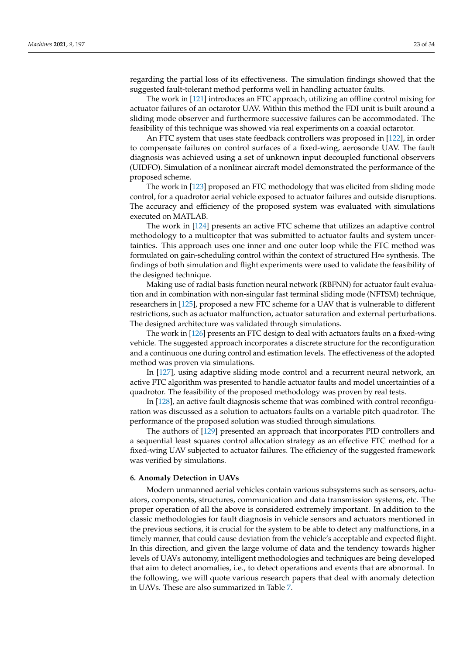regarding the partial loss of its effectiveness. The simulation findings showed that the suggested fault-tolerant method performs well in handling actuator faults.

The work in [\[121\]](#page-32-43) introduces an FTC approach, utilizing an offline control mixing for actuator failures of an octarotor UAV. Within this method the FDI unit is built around a sliding mode observer and furthermore successive failures can be accommodated. The feasibility of this technique was showed via real experiments on a coaxial octarotor.

An FTC system that uses state feedback controllers was proposed in [\[122\]](#page-32-44), in order to compensate failures on control surfaces of a fixed-wing, aerosonde UAV. The fault diagnosis was achieved using a set of unknown input decoupled functional observers (UIDFO). Simulation of a nonlinear aircraft model demonstrated the performance of the proposed scheme.

The work in [\[123\]](#page-32-45) proposed an FTC methodology that was elicited from sliding mode control, for a quadrotor aerial vehicle exposed to actuator failures and outside disruptions. The accuracy and efficiency of the proposed system was evaluated with simulations executed on MATLAB.

The work in [\[124\]](#page-33-6) presents an active FTC scheme that utilizes an adaptive control methodology to a multicopter that was submitted to actuator faults and system uncertainties. This approach uses one inner and one outer loop while the FTC method was formulated on gain-scheduling control within the context of structured  $H\infty$  synthesis. The findings of both simulation and flight experiments were used to validate the feasibility of the designed technique.

Making use of radial basis function neural network (RBFNN) for actuator fault evaluation and in combination with non-singular fast terminal sliding mode (NFTSM) technique, researchers in [\[125\]](#page-33-7), proposed a new FTC scheme for a UAV that is vulnerable to different restrictions, such as actuator malfunction, actuator saturation and external perturbations. The designed architecture was validated through simulations.

The work in [\[126\]](#page-33-8) presents an FTC design to deal with actuators faults on a fixed-wing vehicle. The suggested approach incorporates a discrete structure for the reconfiguration and a continuous one during control and estimation levels. The effectiveness of the adopted method was proven via simulations.

In [\[127\]](#page-33-9), using adaptive sliding mode control and a recurrent neural network, an active FTC algorithm was presented to handle actuator faults and model uncertainties of a quadrotor. The feasibility of the proposed methodology was proven by real tests.

In [\[128\]](#page-33-10), an active fault diagnosis scheme that was combined with control reconfiguration was discussed as a solution to actuators faults on a variable pitch quadrotor. The performance of the proposed solution was studied through simulations.

The authors of [\[129\]](#page-33-11) presented an approach that incorporates PID controllers and a sequential least squares control allocation strategy as an effective FTC method for a fixed-wing UAV subjected to actuator failures. The efficiency of the suggested framework was verified by simulations.

#### <span id="page-22-0"></span>**6. Anomaly Detection in UAVs**

Modern unmanned aerial vehicles contain various subsystems such as sensors, actuators, components, structures, communication and data transmission systems, etc. The proper operation of all the above is considered extremely important. In addition to the classic methodologies for fault diagnosis in vehicle sensors and actuators mentioned in the previous sections, it is crucial for the system to be able to detect any malfunctions, in a timely manner, that could cause deviation from the vehicle's acceptable and expected flight. In this direction, and given the large volume of data and the tendency towards higher levels of UAVs autonomy, intelligent methodologies and techniques are being developed that aim to detect anomalies, i.e., to detect operations and events that are abnormal. In the following, we will quote various research papers that deal with anomaly detection in UAVs. These are also summarized in Table [7.](#page-24-0)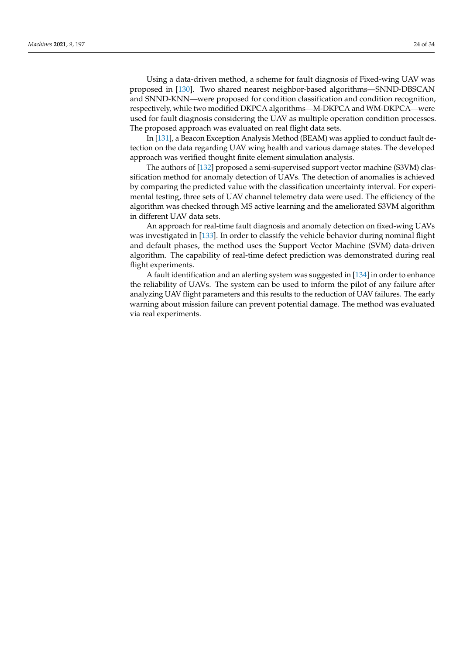Using a data-driven method, a scheme for fault diagnosis of Fixed-wing UAV was proposed in [\[130\]](#page-33-12). Two shared nearest neighbor-based algorithms—SNND-DBSCAN and SNND-KNN—were proposed for condition classification and condition recognition, respectively, while two modified DKPCA algorithms—M-DKPCA and WM-DKPCA—were used for fault diagnosis considering the UAV as multiple operation condition processes. The proposed approach was evaluated on real flight data sets.

In [\[131\]](#page-33-13), a Beacon Exception Analysis Method (BEAM) was applied to conduct fault detection on the data regarding UAV wing health and various damage states. The developed approach was verified thought finite element simulation analysis.

The authors of [\[132\]](#page-33-14) proposed a semi-supervised support vector machine (S3VM) classification method for anomaly detection of UAVs. The detection of anomalies is achieved by comparing the predicted value with the classification uncertainty interval. For experimental testing, three sets of UAV channel telemetry data were used. The efficiency of the algorithm was checked through MS active learning and the ameliorated S3VM algorithm in different UAV data sets.

An approach for real-time fault diagnosis and anomaly detection on fixed-wing UAVs was investigated in [\[133\]](#page-33-15). In order to classify the vehicle behavior during nominal flight and default phases, the method uses the Support Vector Machine (SVM) data-driven algorithm. The capability of real-time defect prediction was demonstrated during real flight experiments.

A fault identification and an alerting system was suggested in [\[134\]](#page-33-16) in order to enhance the reliability of UAVs. The system can be used to inform the pilot of any failure after analyzing UAV flight parameters and this results to the reduction of UAV failures. The early warning about mission failure can prevent potential damage. The method was evaluated via real experiments.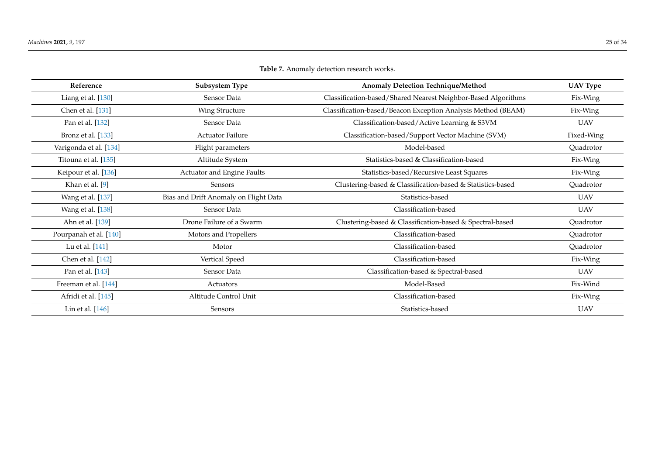<span id="page-24-0"></span>

| Reference              | Subsystem Type                        | Anomaly Detection Technique/Method                            | <b>UAV Type</b> |
|------------------------|---------------------------------------|---------------------------------------------------------------|-----------------|
| Liang et al. [130]     | Sensor Data                           | Classification-based/Shared Nearest Neighbor-Based Algorithms | Fix-Wing        |
| Chen et al. [131]      | Wing Structure                        | Classification-based/Beacon Exception Analysis Method (BEAM)  | Fix-Wing        |
| Pan et al. [132]       | Sensor Data                           | Classification-based/Active Learning & S3VM                   | UAV             |
| Bronz et al. [133]     | <b>Actuator Failure</b>               | Classification-based/Support Vector Machine (SVM)             | Fixed-Wing      |
| Varigonda et al. [134] | Flight parameters                     | Model-based                                                   | Quadrotor       |
| Titouna et al. [135]   | Altitude System                       | Statistics-based & Classification-based                       | Fix-Wing        |
| Keipour et al. [136]   | Actuator and Engine Faults            | Statistics-based/Recursive Least Squares                      | Fix-Wing        |
| Khan et al. [9]        | <b>Sensors</b>                        | Clustering-based & Classification-based & Statistics-based    | Quadrotor       |
| Wang et al. [137]      | Bias and Drift Anomaly on Flight Data | Statistics-based                                              | <b>UAV</b>      |
| Wang et al. [138]      | Sensor Data                           | Classification-based                                          | <b>UAV</b>      |
| Ahn et al. [139]       | Drone Failure of a Swarm              | Clustering-based & Classification-based & Spectral-based      | Quadrotor       |
| Pourpanah et al. [140] | Motors and Propellers                 | Classification-based                                          | Quadrotor       |
| Lu et al. [141]        | Motor                                 | Classification-based                                          | Quadrotor       |
| Chen et al. [142]      | Vertical Speed                        | Classification-based                                          | Fix-Wing        |
| Pan et al. [143]       | Sensor Data                           | Classification-based & Spectral-based                         | UAV             |
| Freeman et al. [144]   | Actuators                             | Model-Based                                                   | Fix-Wind        |
| Afridi et al. [145]    | Altitude Control Unit                 | Classification-based                                          | Fix-Wing        |
| Lin et al. [146]       | Sensors                               | Statistics-based                                              | <b>UAV</b>      |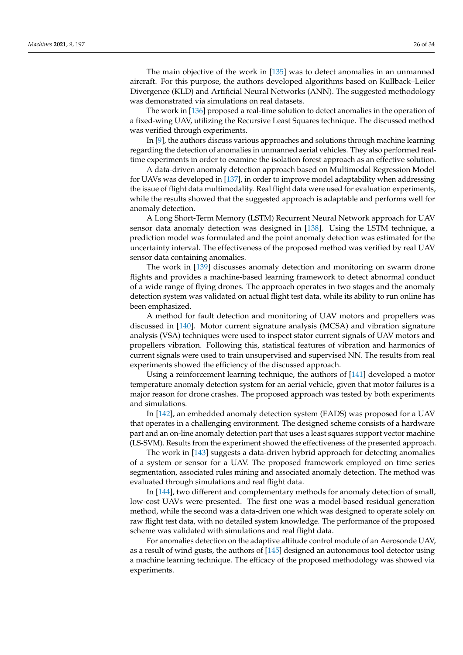The main objective of the work in [\[135\]](#page-33-34) was to detect anomalies in an unmanned aircraft. For this purpose, the authors developed algorithms based on Kullback–Leiler Divergence (KLD) and Artificial Neural Networks (ANN). The suggested methodology was demonstrated via simulations on real datasets.

The work in [\[136\]](#page-33-35) proposed a real-time solution to detect anomalies in the operation of a fixed-wing UAV, utilizing the Recursive Least Squares technique. The discussed method was verified through experiments.

In [\[9\]](#page-28-3), the authors discuss various approaches and solutions through machine learning regarding the detection of anomalies in unmanned aerial vehicles. They also performed realtime experiments in order to examine the isolation forest approach as an effective solution.

A data-driven anomaly detection approach based on Multimodal Regression Model for UAVs was developed in [\[137\]](#page-33-36), in order to improve model adaptability when addressing the issue of flight data multimodality. Real flight data were used for evaluation experiments, while the results showed that the suggested approach is adaptable and performs well for anomaly detection.

A Long Short-Term Memory (LSTM) Recurrent Neural Network approach for UAV sensor data anomaly detection was designed in [\[138\]](#page-33-37). Using the LSTM technique, a prediction model was formulated and the point anomaly detection was estimated for the uncertainty interval. The effectiveness of the proposed method was verified by real UAV sensor data containing anomalies.

The work in [\[139\]](#page-33-38) discusses anomaly detection and monitoring on swarm drone flights and provides a machine-based learning framework to detect abnormal conduct of a wide range of flying drones. The approach operates in two stages and the anomaly detection system was validated on actual flight test data, while its ability to run online has been emphasized.

A method for fault detection and monitoring of UAV motors and propellers was discussed in [\[140\]](#page-33-39). Motor current signature analysis (MCSA) and vibration signature analysis (VSA) techniques were used to inspect stator current signals of UAV motors and propellers vibration. Following this, statistical features of vibration and harmonics of current signals were used to train unsupervised and supervised NN. The results from real experiments showed the efficiency of the discussed approach.

Using a reinforcement learning technique, the authors of [\[141\]](#page-33-40) developed a motor temperature anomaly detection system for an aerial vehicle, given that motor failures is a major reason for drone crashes. The proposed approach was tested by both experiments and simulations.

In [\[142\]](#page-33-41), an embedded anomaly detection system (EADS) was proposed for a UAV that operates in a challenging environment. The designed scheme consists of a hardware part and an on-line anomaly detection part that uses a least squares support vector machine (LS-SVM). Results from the experiment showed the effectiveness of the presented approach.

The work in [\[143\]](#page-33-42) suggests a data-driven hybrid approach for detecting anomalies of a system or sensor for a UAV. The proposed framework employed on time series segmentation, associated rules mining and associated anomaly detection. The method was evaluated through simulations and real flight data.

In [\[144\]](#page-33-43), two different and complementary methods for anomaly detection of small, low-cost UAVs were presented. The first one was a model-based residual generation method, while the second was a data-driven one which was designed to operate solely on raw flight test data, with no detailed system knowledge. The performance of the proposed scheme was validated with simulations and real flight data.

For anomalies detection on the adaptive altitude control module of an Aerosonde UAV, as a result of wind gusts, the authors of [\[145\]](#page-33-44) designed an autonomous tool detector using a machine learning technique. The efficacy of the proposed methodology was showed via experiments.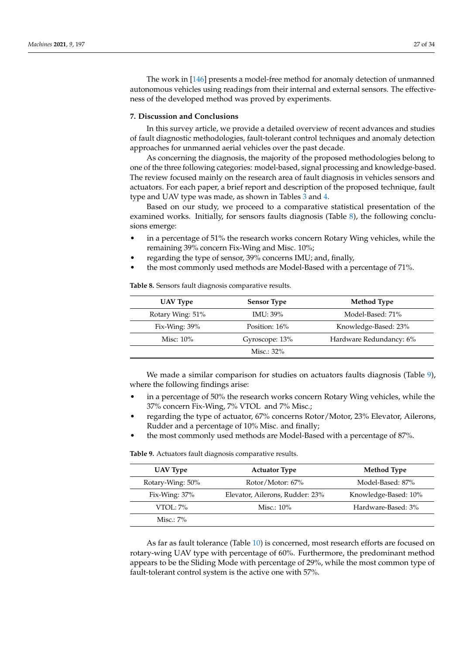The work in [\[146\]](#page-33-45) presents a model-free method for anomaly detection of unmanned autonomous vehicles using readings from their internal and external sensors. The effectiveness of the developed method was proved by experiments.

#### <span id="page-26-0"></span>**7. Discussion and Conclusions**

In this survey article, we provide a detailed overview of recent advances and studies of fault diagnostic methodologies, fault-tolerant control techniques and anomaly detection approaches for unmanned aerial vehicles over the past decade.

As concerning the diagnosis, the majority of the proposed methodologies belong to one of the three following categories: model-based, signal processing and knowledge-based. The review focused mainly on the research area of fault diagnosis in vehicles sensors and actuators. For each paper, a brief report and description of the proposed technique, fault type and UAV type was made, as shown in Tables [3](#page-8-0) and [4.](#page-12-0)

Based on our study, we proceed to a comparative statistical presentation of the examined works. Initially, for sensors faults diagnosis (Table [8\)](#page-26-1), the following conclusions emerge:

- in a percentage of 51% the research works concern Rotary Wing vehicles, while the remaining 39% concern Fix-Wing and Misc. 10%;
- regarding the type of sensor, 39% concerns IMU; and, finally,
- the most commonly used methods are Model-Based with a percentage of 71%.

<span id="page-26-1"></span>**Table 8.** Sensors fault diagnosis comparative results.

| UAV Type         | <b>Sensor Type</b> | Method Type             |
|------------------|--------------------|-------------------------|
| Rotary Wing: 51% | <b>IMU</b> : 39%   | Model-Based: 71%        |
| Fix-Wing: $39\%$ | Position: 16%      | Knowledge-Based: 23%    |
| Misc: $10\%$     | Gyroscope: 13%     | Hardware Redundancy: 6% |
|                  | Misc.: $32\%$      |                         |

We made a similar comparison for studies on actuators faults diagnosis (Table [9\)](#page-26-2), where the following findings arise:

- in a percentage of 50% the research works concern Rotary Wing vehicles, while the 37% concern Fix-Wing, 7% VTOL and 7% Misc.;
- regarding the type of actuator, 67% concerns Rotor/Motor, 23% Elevator, Ailerons, Rudder and a percentage of 10% Misc. and finally;
- the most commonly used methods are Model-Based with a percentage of 87%.

<span id="page-26-2"></span>**Table 9.** Actuators fault diagnosis comparative results.

| UAV Type         | <b>Actuator Type</b>            | Method Type          |
|------------------|---------------------------------|----------------------|
| Rotary-Wing: 50% | Rotor/Motor: 67%                | Model-Based: 87%     |
| Fix-Wing: $37\%$ | Elevator, Ailerons, Rudder: 23% | Knowledge-Based: 10% |
| $VTO1:7\%$       | Misc.: $10\%$                   | Hardware-Based: 3%   |
| Misc $: 7\%$     |                                 |                      |

As far as fault tolerance (Table [10\)](#page-27-5) is concerned, most research efforts are focused on rotary-wing UAV type with percentage of 60%. Furthermore, the predominant method appears to be the Sliding Mode with percentage of 29%, while the most common type of fault-tolerant control system is the active one with 57%.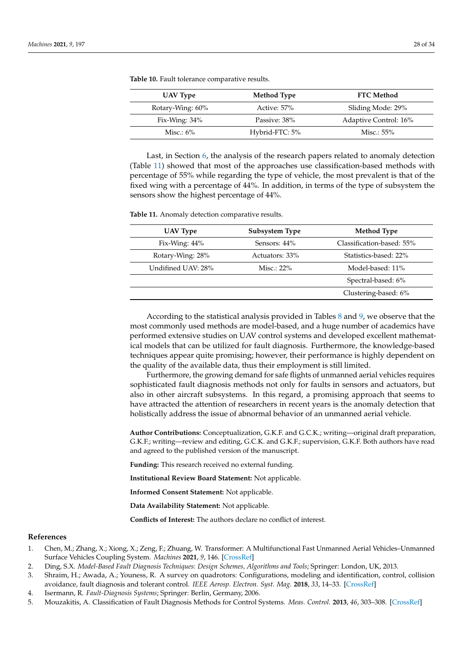| UAV Type         | Method Type    | <b>FTC Method</b>     |
|------------------|----------------|-----------------------|
| Rotary-Wing: 60% | Active: 57%    | Sliding Mode: 29%     |
| Fix-Wing: $34\%$ | Passive: 38%   | Adaptive Control: 16% |
| Misc.: $6\%$     | Hybrid-FTC: 5% | Misc.: 55%            |

<span id="page-27-5"></span>**Table 10.** Fault tolerance comparative results.

Last, in Section [6,](#page-22-0) the analysis of the research papers related to anomaly detection (Table [11\)](#page-27-6) showed that most of the approaches use classification-based methods with percentage of 55% while regarding the type of vehicle, the most prevalent is that of the fixed wing with a percentage of 44%. In addition, in terms of the type of subsystem the sensors show the highest percentage of 44%.

<span id="page-27-6"></span>**Table 11.** Anomaly detection comparative results.

| UAV Type           | Subsystem Type | Method Type               |
|--------------------|----------------|---------------------------|
| Fix-Wing: $44\%$   | Sensors: 44%   | Classification-based: 55% |
| Rotary-Wing: 28%   | Actuators: 33% | Statistics-based: 22%     |
| Undifined UAV: 28% | Misc.: $22\%$  | Model-based: 11%          |
|                    |                | Spectral-based: 6%        |
|                    |                | Clustering-based: 6%      |

According to the statistical analysis provided in Tables [8](#page-26-1) and [9,](#page-26-2) we observe that the most commonly used methods are model-based, and a huge number of academics have performed extensive studies on UAV control systems and developed excellent mathematical models that can be utilized for fault diagnosis. Furthermore, the knowledge-based techniques appear quite promising; however, their performance is highly dependent on the quality of the available data, thus their employment is still limited.

Furthermore, the growing demand for safe flights of unmanned aerial vehicles requires sophisticated fault diagnosis methods not only for faults in sensors and actuators, but also in other aircraft subsystems. In this regard, a promising approach that seems to have attracted the attention of researchers in recent years is the anomaly detection that holistically address the issue of abnormal behavior of an unmanned aerial vehicle.

**Author Contributions:** Conceptualization, G.K.F. and G.C.K.; writing—original draft preparation, G.K.F.; writing—review and editing, G.C.K. and G.K.F.; supervision, G.K.F. Both authors have read and agreed to the published version of the manuscript.

**Funding:** This research received no external funding.

**Institutional Review Board Statement:** Not applicable.

**Informed Consent Statement:** Not applicable.

**Data Availability Statement:** Not applicable.

**Conflicts of Interest:** The authors declare no conflict of interest.

#### **References**

- <span id="page-27-0"></span>1. Chen, M.; Zhang, X.; Xiong, X.; Zeng, F.; Zhuang, W. Transformer: A Multifunctional Fast Unmanned Aerial Vehicles–Unmanned Surface Vehicles Coupling System. *Machines* **2021**, *9*, 146. [\[CrossRef\]](http://doi.org/10.3390/machines9080146)
- <span id="page-27-1"></span>2. Ding, S.X. *Model-Based Fault Diagnosis Techniques: Design Schemes, Algorithms and Tools*; Springer: London, UK, 2013.
- <span id="page-27-2"></span>3. Shraim, H.; Awada, A.; Youness, R. A survey on quadrotors: Configurations, modeling and identification, control, collision avoidance, fault diagnosis and tolerant control. *IEEE Aerosp. Electron. Syst. Mag.* **2018**, *33*, 14–33. [\[CrossRef\]](http://dx.doi.org/10.1109/MAES.2018.160246)
- <span id="page-27-3"></span>4. Isermann, R. *Fault-Diagnosis Systems*; Springer: Berlin, Germany, 2006.
- <span id="page-27-4"></span>5. Mouzakitis, A. Classification of Fault Diagnosis Methods for Control Systems. *Meas. Control.* **2013**, *46*, 303–308. [\[CrossRef\]](http://dx.doi.org/10.1177/0020294013510471)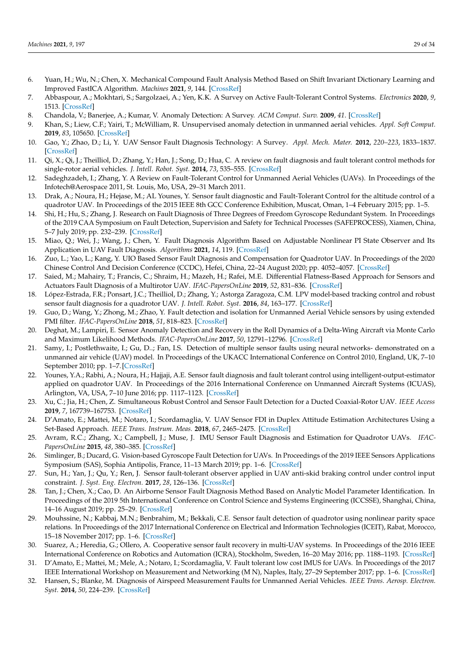- <span id="page-28-47"></span><span id="page-28-19"></span><span id="page-28-18"></span><span id="page-28-17"></span><span id="page-28-16"></span><span id="page-28-15"></span><span id="page-28-0"></span>6. Yuan, H.; Wu, N.; Chen, X. Mechanical Compound Fault Analysis Method Based on Shift Invariant Dictionary Learning and Improved FastICA Algorithm. *Machines* **2021**, *9*, 144. [\[CrossRef\]](http://dx.doi.org/10.3390/machines9080144)
- <span id="page-28-20"></span><span id="page-28-1"></span>7. Abbaspour, A.; Mokhtari, S.; Sargolzaei, A.; Yen, K.K. A Survey on Active Fault-Tolerant Control Systems. *Electronics* **2020**, *9*, 1513. [\[CrossRef\]](http://dx.doi.org/10.3390/electronics9091513)
- <span id="page-28-21"></span><span id="page-28-2"></span>8. Chandola, V.; Banerjee, A.; Kumar, V. Anomaly Detection: A Survey. *ACM Comput. Surv.* **2009**, *41*. [\[CrossRef\]](http://dx.doi.org/10.1145/1541880.1541882)
- <span id="page-28-3"></span>9. Khan, S.; Liew, C.F.; Yairi, T.; McWilliam, R. Unsupervised anomaly detection in unmanned aerial vehicles. *Appl. Soft Comput.* **2019**, *83*, 105650. [\[CrossRef\]](http://dx.doi.org/10.1016/j.asoc.2019.105650)
- <span id="page-28-22"></span><span id="page-28-4"></span>10. Gao, Y.; Zhao, D.; Li, Y. UAV Sensor Fault Diagnosis Technology: A Survey. *Appl. Mech. Mater.* **2012**, *220–223*, 1833–1837. [\[CrossRef\]](http://dx.doi.org/10.4028/www.scientific.net/AMM.220-223.1833)
- <span id="page-28-23"></span><span id="page-28-5"></span>11. Qi, X.; Qi, J.; Theilliol, D.; Zhang, Y.; Han, J.; Song, D.; Hua, C. A review on fault diagnosis and fault tolerant control methods for single-rotor aerial vehicles. *J. Intell. Robot. Syst.* **2014**, *73*, 535–555. [\[CrossRef\]](http://dx.doi.org/10.1007/s10846-013-9954-z)
- <span id="page-28-24"></span><span id="page-28-6"></span>12. Sadeghzadeh, I.; Zhang, Y. A Review on Fault-Tolerant Control for Unmanned Aerial Vehicles (UAVs). In Proceedings of the Infotech@Aerospace 2011, St. Louis, Mo, USA, 29–31 March 2011.
- <span id="page-28-7"></span>13. Drak, A.; Noura, H.; Hejase, M.; AL Younes, Y. Sensor fault diagnostic and Fault-Tolerant Control for the altitude control of a quadrotor UAV. In Proceedings of the 2015 IEEE 8th GCC Conference Exhibition, Muscat, Oman, 1–4 February 2015; pp. 1–5.
- <span id="page-28-26"></span><span id="page-28-25"></span><span id="page-28-8"></span>14. Shi, H.; Hu, S.; Zhang, J. Research on Fault Diagnosis of Three Degrees of Freedom Gyroscope Redundant System. In Proceedings of the 2019 CAA Symposium on Fault Detection, Supervision and Safety for Technical Processes (SAFEPROCESS), Xiamen, China, 5–7 July 2019; pp. 232–239. [\[CrossRef\]](http://dx.doi.org/10.1109/SAFEPROCESS45799.2019.9213329)
- <span id="page-28-27"></span><span id="page-28-9"></span>15. Miao, Q.; Wei, J.; Wang, J.; Chen, Y. Fault Diagnosis Algorithm Based on Adjustable Nonlinear PI State Observer and Its Application in UAV Fault Diagnosis. *Algorithms* **2021**, *14*, 119. [\[CrossRef\]](http://dx.doi.org/10.3390/a14040119)
- <span id="page-28-28"></span><span id="page-28-10"></span>16. Zuo, L.; Yao, L.; Kang, Y. UIO Based Sensor Fault Diagnosis and Compensation for Quadrotor UAV. In Proceedings of the 2020 Chinese Control And Decision Conference (CCDC), Hefei, China, 22–24 August 2020; pp. 4052–4057. [\[CrossRef\]](http://dx.doi.org/10.1109/CCDC49329.2020.9164802)
- <span id="page-28-29"></span><span id="page-28-11"></span>17. Saied, M.; Mahairy, T.; Francis, C.; Shraim, H.; Mazeh, H.; Rafei, M.E. Differential Flatness-Based Approach for Sensors and Actuators Fault Diagnosis of a Multirotor UAV. *IFAC-PapersOnLine* **2019**, *52*, 831–836. [\[CrossRef\]](http://dx.doi.org/10.1016/j.ifacol.2019.12.066)
- <span id="page-28-30"></span><span id="page-28-12"></span>18. López-Estrada, F.R.; Ponsart, J.C.; Theilliol, D.; Zhang, Y.; Astorga Zaragoza, C.M. LPV model-based tracking control and robust sensor fault diagnosis for a quadrotor UAV. *J. Intell. Robot. Syst.* **2016**, *84*, 163–177. [\[CrossRef\]](http://dx.doi.org/10.1007/s10846-015-0295-y)
- <span id="page-28-13"></span>19. Guo, D.; Wang, Y.; Zhong, M.; Zhao, Y. Fault detection and isolation for Unmanned Aerial Vehicle sensors by using extended PMI filter. *IFAC-PapersOnLine* **2018**, *51*, 818–823. [\[CrossRef\]](http://dx.doi.org/10.1016/j.ifacol.2018.09.669)
- <span id="page-28-31"></span><span id="page-28-14"></span>20. Deghat, M.; Lampiri, E. Sensor Anomaly Detection and Recovery in the Roll Dynamics of a Delta-Wing Aircraft via Monte Carlo and Maximum Likelihood Methods. *IFAC-PapersOnLine* **2017**, *50*, 12791–12796. [\[CrossRef\]](http://dx.doi.org/10.1016/j.ifacol.2017.08.1836)
- <span id="page-28-35"></span><span id="page-28-32"></span>21. Samy, I.; Postlethwaite, I.; Gu, D..; Fan, I.S. Detection of multiple sensor faults using neural networks- demonstrated on a unmanned air vehicle (UAV) model. In Proceedings of the UKACC International Conference on Control 2010, England, UK, 7–10 September 2010; pp. 1–7. [\[CrossRef\]](http://dx.doi.org/10.1049/ic.2010.0403)
- <span id="page-28-36"></span><span id="page-28-34"></span><span id="page-28-33"></span>22. Younes, Y.A.; Rabhi, A.; Noura, H.; Hajjaji, A.E. Sensor fault diagnosis and fault tolerant control using intelligent-output-estimator applied on quadrotor UAV. In Proceedings of the 2016 International Conference on Unmanned Aircraft Systems (ICUAS), Arlington, VA, USA, 7–10 June 2016; pp. 1117–1123. [\[CrossRef\]](http://dx.doi.org/10.1109/ICUAS.2016.7502557)
- <span id="page-28-37"></span>23. Xu, C.; Jia, H.; Chen, Z. Simultaneous Robust Control and Sensor Fault Detection for a Ducted Coaxial-Rotor UAV. *IEEE Access* **2019**, *7*, 167739–167753. [\[CrossRef\]](http://dx.doi.org/10.1109/ACCESS.2019.2952386)
- <span id="page-28-38"></span>24. D'Amato, E.; Mattei, M.; Notaro, I.; Scordamaglia, V. UAV Sensor FDI in Duplex Attitude Estimation Architectures Using a Set-Based Approach. *IEEE Trans. Instrum. Meas.* **2018**, *67*, 2465–2475. [\[CrossRef\]](http://dx.doi.org/10.1109/TIM.2018.2838718)
- <span id="page-28-39"></span>25. Avram, R.C.; Zhang, X.; Campbell, J.; Muse, J. IMU Sensor Fault Diagnosis and Estimation for Quadrotor UAVs. *IFAC-PapersOnLine* **2015**, *48*, 380–385. [\[CrossRef\]](http://dx.doi.org/10.1016/j.ifacol.2015.09.556)
- <span id="page-28-40"></span>26. Simlinger, B.; Ducard, G. Vision-based Gyroscope Fault Detection for UAVs. In Proceedings of the 2019 IEEE Sensors Applications Symposium (SAS), Sophia Antipolis, France, 11–13 March 2019; pp. 1–6. [\[CrossRef\]](http://dx.doi.org/10.1109/SAS.2019.8705965)
- <span id="page-28-41"></span>27. Sun, H.; Yan, J.; Qu, Y.; Ren, J. Sensor fault-tolerant observer applied in UAV anti-skid braking control under control input constraint. *J. Syst. Eng. Electron.* **2017**, *28*, 126–136. [\[CrossRef\]](http://dx.doi.org/10.21629/JSEE.2017.01.14)
- <span id="page-28-42"></span>28. Tan, J.; Chen, X.; Cao, D. An Airborne Sensor Fault Diagnosis Method Based on Analytic Model Parameter Identification. In Proceedings of the 2019 5th International Conference on Control Science and Systems Engineering (ICCSSE), Shanghai, China, 14–16 August 2019; pp. 25–29. [\[CrossRef\]](http://dx.doi.org/10.1109/ICCSSE.2019.00013)
- <span id="page-28-43"></span>29. Mouhssine, N.; Kabbaj, M.N.; Benbrahim, M.; Bekkali, C.E. Sensor fault detection of quadrotor using nonlinear parity space relations. In Proceedings of the 2017 International Conference on Electrical and Information Technologies (ICEIT), Rabat, Morocco, 15–18 November 2017; pp. 1–6. [\[CrossRef\]](http://dx.doi.org/10.1109/EITech.2017.8255220)
- <span id="page-28-44"></span>30. Suarez, A.; Heredia, G.; Ollero, A. Cooperative sensor fault recovery in multi-UAV systems. In Proceedings of the 2016 IEEE International Conference on Robotics and Automation (ICRA), Stockholm, Sweden, 16–20 May 2016; pp. 1188–1193. [\[CrossRef\]](http://dx.doi.org/10.1109/ICRA.2016.7487249)
- <span id="page-28-45"></span>31. D'Amato, E.; Mattei, M.; Mele, A.; Notaro, I.; Scordamaglia, V. Fault tolerant low cost IMUS for UAVs. In Proceedings of the 2017 IEEE International Workshop on Measurement and Networking (M N), Naples, Italy, 27–29 September 2017; pp. 1–6. [\[CrossRef\]](http://dx.doi.org/10.1109/IWMN.2017.8078380)
- <span id="page-28-46"></span>32. Hansen, S.; Blanke, M. Diagnosis of Airspeed Measurement Faults for Unmanned Aerial Vehicles. *IEEE Trans. Aerosp. Electron. Syst.* **2014**, *50*, 224–239. [\[CrossRef\]](http://dx.doi.org/10.1109/TAES.2013.120420)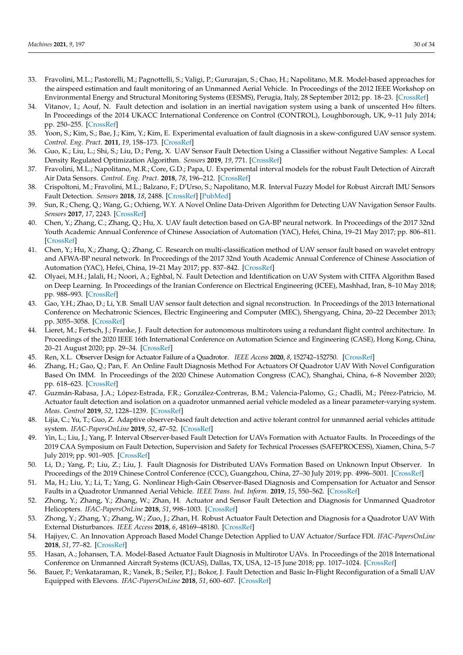- <span id="page-29-11"></span><span id="page-29-9"></span><span id="page-29-8"></span><span id="page-29-7"></span><span id="page-29-6"></span><span id="page-29-5"></span><span id="page-29-4"></span><span id="page-29-3"></span><span id="page-29-2"></span><span id="page-29-1"></span><span id="page-29-0"></span>33. Fravolini, M.L.; Pastorelli, M.; Pagnottelli, S.; Valigi, P.; Gururajan, S.; Chao, H.; Napolitano, M.R. Model-based approaches for the airspeed estimation and fault monitoring of an Unmanned Aerial Vehicle. In Proceedings of the 2012 IEEE Workshop on Environmental Energy and Structural Monitoring Systems (EESMS), Perugia, Italy, 28 September 2012; pp. 18–23. [\[CrossRef\]](http://dx.doi.org/10.1109/EESMS.2012.6348401)
- <span id="page-29-12"></span><span id="page-29-10"></span>34. Vitanov, I.; Aouf, N. Fault detection and isolation in an inertial navigation system using a bank of unscented H∞ filters. In Proceedings of the 2014 UKACC International Conference on Control (CONTROL), Loughborough, UK, 9–11 July 2014; pp. 250–255. [\[CrossRef\]](http://dx.doi.org/10.1109/CONTROL.2014.6915148)
- <span id="page-29-22"></span><span id="page-29-13"></span>35. Yoon, S.; Kim, S.; Bae, J.; Kim, Y.; Kim, E. Experimental evaluation of fault diagnosis in a skew-configured UAV sensor system. *Control. Eng. Pract.* **2011**, *19*, 158–173. [\[CrossRef\]](http://dx.doi.org/10.1016/j.conengprac.2010.11.004)
- <span id="page-29-14"></span>36. Guo, K.; Liu, L.; Shi, S.; Liu, D.; Peng, X. UAV Sensor Fault Detection Using a Classifier without Negative Samples: A Local Density Regulated Optimization Algorithm. *Sensors* **2019**, *19*, 771. [\[CrossRef\]](http://dx.doi.org/10.3390/s19040771)
- <span id="page-29-24"></span><span id="page-29-23"></span><span id="page-29-15"></span>37. Fravolini, M.L.; Napolitano, M.R.; Core, G.D.; Papa, U. Experimental interval models for the robust Fault Detection of Aircraft Air Data Sensors. *Control. Eng. Pract.* **2018**, *78*, 196–212. [\[CrossRef\]](http://dx.doi.org/10.1016/j.conengprac.2018.07.002)
- <span id="page-29-16"></span>38. Crispoltoni, M.; Fravolini, M.L.; Balzano, F.; D'Urso, S.; Napolitano, M.R. Interval Fuzzy Model for Robust Aircraft IMU Sensors Fault Detection. *Sensors* **2018**, *18*, 2488. [\[CrossRef\]](http://dx.doi.org/10.3390/s18082488) [\[PubMed\]](http://www.ncbi.nlm.nih.gov/pubmed/30071591)
- <span id="page-29-25"></span><span id="page-29-17"></span>39. Sun, R.; Cheng, Q.; Wang, G.; Ochieng, W.Y. A Novel Online Data-Driven Algorithm for Detecting UAV Navigation Sensor Faults. *Sensors* **2017**, *17*, 2243. [\[CrossRef\]](http://dx.doi.org/10.3390/s17102243)
- <span id="page-29-26"></span><span id="page-29-18"></span>40. Chen, Y.; Zhang, C.; Zhang, Q.; Hu, X. UAV fault detection based on GA-BP neural network. In Proceedings of the 2017 32nd Youth Academic Annual Conference of Chinese Association of Automation (YAC), Hefei, China, 19–21 May 2017; pp. 806–811. [\[CrossRef\]](http://dx.doi.org/10.1109/YAC.2017.7967520)
- <span id="page-29-27"></span><span id="page-29-19"></span>41. Chen, Y.; Hu, X.; Zhang, Q.; Zhang, C. Research on multi-classification method of UAV sensor fault based on wavelet entropy and AFWA-BP neural network. In Proceedings of the 2017 32nd Youth Academic Annual Conference of Chinese Association of Automation (YAC), Hefei, China, 19–21 May 2017; pp. 837–842. [\[CrossRef\]](http://dx.doi.org/10.1109/YAC.2017.7967526)
- <span id="page-29-29"></span><span id="page-29-28"></span><span id="page-29-20"></span>42. Olyaei, M.H.; Jalali, H.; Noori, A.; Eghbal, N. Fault Detection and Identification on UAV System with CITFA Algorithm Based on Deep Learning. In Proceedings of the Iranian Conference on Electrical Engineering (ICEE), Mashhad, Iran, 8–10 May 2018; pp. 988–993. [\[CrossRef\]](http://dx.doi.org/10.1109/ICEE.2018.8472529)
- <span id="page-29-30"></span><span id="page-29-21"></span>43. Gao, Y.H.; Zhao, D.; Li, Y.B. Small UAV sensor fault detection and signal reconstruction. In Proceedings of the 2013 International Conference on Mechatronic Sciences, Electric Engineering and Computer (MEC), Shengyang, China, 20–22 December 2013; pp. 3055–3058. [\[CrossRef\]](http://dx.doi.org/10.1109/MEC.2013.6885550.)
- <span id="page-29-35"></span><span id="page-29-32"></span><span id="page-29-31"></span>44. Lieret, M.; Fertsch, J.; Franke, J. Fault detection for autonomous multirotors using a redundant flight control architecture. In Proceedings of the 2020 IEEE 16th International Conference on Automation Science and Engineering (CASE), Hong Kong, China, 20–21 August 2020; pp. 29–34. [\[CrossRef\]](http://dx.doi.org/10.1109/CASE48305.2020.9216786)
- <span id="page-29-36"></span><span id="page-29-33"></span>45. Ren, X.L. Observer Design for Actuator Failure of a Quadrotor. *IEEE Access* **2020**, *8*, 152742–152750. [\[CrossRef\]](http://dx.doi.org/10.1109/ACCESS.2020.3017522)
- <span id="page-29-37"></span><span id="page-29-34"></span>46. Zhang, H.; Gao, Q.; Pan, F. An Online Fault Diagnosis Method For Actuators Of Quadrotor UAV With Novel Configuration Based On IMM. In Proceedings of the 2020 Chinese Automation Congress (CAC), Shanghai, China, 6–8 November 2020; pp. 618–623. [\[CrossRef\]](http://dx.doi.org/10.1109/CAC51589.2020.9326877)
- <span id="page-29-38"></span>47. Guzmán-Rabasa, J.A.; López-Estrada, F.R.; González-Contreras, B.M.; Valencia-Palomo, G.; Chadli, M.; Pérez-Patricio, M. Actuator fault detection and isolation on a quadrotor unmanned aerial vehicle modeled as a linear parameter-varying system. *Meas. Control* **2019**, *52*, 1228–1239. [\[CrossRef\]](http://dx.doi.org/10.1177/0020294018824764)
- <span id="page-29-39"></span>48. Lijia, C.; Yu, T.; Guo, Z. Adaptive observer-based fault detection and active tolerant control for unmanned aerial vehicles attitude system. *IFAC-PapersOnLine* **2019**, *52*, 47–52. [\[CrossRef\]](http://dx.doi.org/10.1016/j.ifacol.2019.12.379)
- <span id="page-29-40"></span>49. Yin, L.; Liu, J.; Yang, P. Interval Observer-based Fault Detection for UAVs Formation with Actuator Faults. In Proceedings of the 2019 CAA Symposium on Fault Detection, Supervision and Safety for Technical Processes (SAFEPROCESS), Xiamen, China, 5–7 July 2019; pp. 901–905. [\[CrossRef\]](http://dx.doi.org/10.1109/SAFEPROCESS45799.2019.9213415)
- <span id="page-29-41"></span>50. Li, D.; Yang, P.; Liu, Z.; Liu, J. Fault Diagnosis for Distributed UAVs Formation Based on Unknown Input Observer. In Proceedings of the 2019 Chinese Control Conference (CCC), Guangzhou, China, 27–30 July 2019; pp. 4996–5001. [\[CrossRef\]](http://dx.doi.org/10.23919/ChiCC.2019.8866687)
- <span id="page-29-42"></span>51. Ma, H.; Liu, Y.; Li, T.; Yang, G. Nonlinear High-Gain Observer-Based Diagnosis and Compensation for Actuator and Sensor Faults in a Quadrotor Unmanned Aerial Vehicle. *IEEE Trans. Ind. Inform.* **2019**, *15*, 550–562. [\[CrossRef\]](http://dx.doi.org/10.1109/TII.2018.2865522)
- <span id="page-29-43"></span>52. Zhong, Y.; Zhang, Y.; Zhang, W.; Zhan, H. Actuator and Sensor Fault Detection and Diagnosis for Unmanned Quadrotor Helicopters. *IFAC-PapersOnLine* **2018**, *51*, 998–1003. [\[CrossRef\]](http://dx.doi.org/10.1016/j.ifacol.2018.09.708)
- <span id="page-29-44"></span>53. Zhong, Y.; Zhang, Y.; Zhang, W.; Zuo, J.; Zhan, H. Robust Actuator Fault Detection and Diagnosis for a Quadrotor UAV With External Disturbances. *IEEE Access* **2018**, *6*, 48169–48180. [\[CrossRef\]](http://dx.doi.org/10.1109/ACCESS.2018.2867574)
- <span id="page-29-45"></span>54. Hajiyev, C. An Innovation Approach Based Model Change Detection Applied to UAV Actuator/Surface FDI. *IFAC-PapersOnLine* **2018**, *51*, 77–82. [\[CrossRef\]](http://dx.doi.org/10.1016/j.ifacol.2018.11.252)
- <span id="page-29-46"></span>55. Hasan, A.; Johansen, T.A. Model-Based Actuator Fault Diagnosis in Multirotor UAVs. In Proceedings of the 2018 International Conference on Unmanned Aircraft Systems (ICUAS), Dallas, TX, USA, 12–15 June 2018; pp. 1017–1024. [\[CrossRef\]](http://dx.doi.org/10.1109/ICUAS.2018.8453420)
- <span id="page-29-47"></span>56. Bauer, P.; Venkataraman, R.; Vanek, B.; Seiler, P.J.; Bokor, J. Fault Detection and Basic In-Flight Reconfiguration of a Small UAV Equipped with Elevons. *IFAC-PapersOnLine* **2018**, *51*, 600–607. [\[CrossRef\]](http://dx.doi.org/10.1016/j.ifacol.2018.09.637)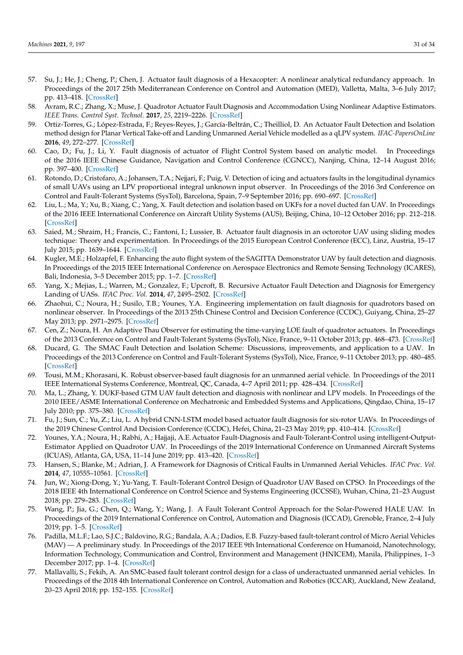- <span id="page-30-17"></span><span id="page-30-8"></span><span id="page-30-7"></span><span id="page-30-6"></span><span id="page-30-5"></span><span id="page-30-4"></span><span id="page-30-3"></span><span id="page-30-2"></span><span id="page-30-1"></span><span id="page-30-0"></span>57. Su, J.; He, J.; Cheng, P.; Chen, J. Actuator fault diagnosis of a Hexacopter: A nonlinear analytical redundancy approach. In Proceedings of the 2017 25th Mediterranean Conference on Control and Automation (MED), Valletta, Malta, 3–6 July 2017; pp. 413–418. [\[CrossRef\]](http://dx.doi.org/10.1109/MED.2017.7984152)
- <span id="page-30-18"></span><span id="page-30-9"></span>58. Avram, R.C.; Zhang, X.; Muse, J. Quadrotor Actuator Fault Diagnosis and Accommodation Using Nonlinear Adaptive Estimators. *IEEE Trans. Control Syst. Technol.* **2017**, *25*, 2219–2226. [\[CrossRef\]](http://dx.doi.org/10.1109/TCST.2016.2640941)
- <span id="page-30-19"></span><span id="page-30-10"></span>59. Ortiz-Torres, G.; López-Estrada, F.; Reyes-Reyes, J.; García-Beltrán, C.; Theilliol, D. An Actuator Fault Detection and Isolation method design for Planar Vertical Take-off and Landing Unmanned Aerial Vehicle modelled as a qLPV system. *IFAC-PapersOnLine* **2016**, *49*, 272–277. [\[CrossRef\]](http://dx.doi.org/10.1016/j.ifacol.2016.07.125)
- <span id="page-30-20"></span><span id="page-30-11"></span>60. Cao, D.; Fu, J.; Li, Y. Fault diagnosis of actuator of Flight Control System based on analytic model. In Proceedings of the 2016 IEEE Chinese Guidance, Navigation and Control Conference (CGNCC), Nanjing, China, 12–14 August 2016; pp. 397–400. [\[CrossRef\]](http://dx.doi.org/10.1109/CGNCC.2016.7828818.)
- <span id="page-30-21"></span><span id="page-30-12"></span>61. Rotondo, D.; Cristofaro, A.; Johansen, T.A.; Nejjari, F.; Puig, V. Detection of icing and actuators faults in the longitudinal dynamics of small UAVs using an LPV proportional integral unknown input observer. In Proceedings of the 2016 3rd Conference on Control and Fault-Tolerant Systems (SysTol), Barcelona, Spain, 7–9 September 2016; pp. 690–697. [\[CrossRef\]](http://dx.doi.org/10.1109/SYSTOL.2016.7739829)
- <span id="page-30-22"></span><span id="page-30-13"></span>62. Liu, L.; Ma, Y.; Xu, B.; Xiang, C.; Yang, X. Fault detection and isolation based on UKFs for a novel ducted fan UAV. In Proceedings of the 2016 IEEE International Conference on Aircraft Utility Systems (AUS), Beijing, China, 10–12 October 2016; pp. 212–218. [\[CrossRef\]](http://dx.doi.org/10.1109/AUS.2016.7748049)
- <span id="page-30-23"></span><span id="page-30-15"></span><span id="page-30-14"></span>63. Saied, M.; Shraim, H.; Francis, C.; Fantoni, I.; Lussier, B. Actuator fault diagnosis in an octorotor UAV using sliding modes technique: Theory and experimentation. In Proceedings of the 2015 European Control Conference (ECC), Linz, Austria, 15–17 July 2015; pp. 1639–1644. [\[CrossRef\]](http://dx.doi.org/10.1109/ECC.2015.7330772)
- <span id="page-30-24"></span><span id="page-30-16"></span>64. Kugler, M.E.; Holzapfel, F. Enhancing the auto flight system of the SAGITTA Demonstrator UAV by fault detection and diagnosis. In Proceedings of the 2015 IEEE International Conference on Aerospace Electronics and Remote Sensing Technology (ICARES), Bali, Indonesia, 3–5 December 2015; pp. 1–7. [\[CrossRef\]](http://dx.doi.org/10.1109/ICARES.2015.7429827)
- <span id="page-30-38"></span><span id="page-30-25"></span>65. Yang, X.; Mejias, L.; Warren, M.; Gonzalez, F.; Upcroft, B. Recursive Actuator Fault Detection and Diagnosis for Emergency Landing of UASs. *IFAC Proc. Vol.* **2014**, *47*, 2495–2502. [\[CrossRef\]](http://dx.doi.org/10.3182/20140824-6-ZA-1003.00087)
- <span id="page-30-39"></span><span id="page-30-26"></span>66. Zhaohui, C.; Noura, H.; Susilo, T.B.; Younes, Y.A. Engineering implementation on fault diagnosis for quadrotors based on nonlinear observer. In Proceedings of the 2013 25th Chinese Control and Decision Conference (CCDC), Guiyang, China, 25–27 May 2013; pp. 2971–2975. [\[CrossRef\]](http://dx.doi.org/10.1109/CCDC.2013.6561454)
- <span id="page-30-27"></span>67. Cen, Z.; Noura, H. An Adaptive Thau Observer for estimating the time-varying LOE fault of quadrotor actuators. In Proceedings of the 2013 Conference on Control and Fault-Tolerant Systems (SysTol), Nice, France, 9–11 October 2013; pp. 468–473. [\[CrossRef\]](http://dx.doi.org/10.1109/SysTol.2013.6693918)
- <span id="page-30-40"></span><span id="page-30-28"></span>68. Ducard, G. The SMAC Fault Detection and Isolation Scheme: Discussions, improvements, and application to a UAV. In Proceedings of the 2013 Conference on Control and Fault-Tolerant Systems (SysTol), Nice, France, 9–11 October 2013; pp. 480–485. [\[CrossRef\]](http://dx.doi.org/10.1109/SysTol.2013.6693949)
- <span id="page-30-41"></span><span id="page-30-29"></span>69. Tousi, M.M.; Khorasani, K. Robust observer-based fault diagnosis for an unmanned aerial vehicle. In Proceedings of the 2011 IEEE International Systems Conference, Montreal, QC, Canada, 4–7 April 2011; pp. 428–434. [\[CrossRef\]](http://dx.doi.org/10.1109/SYSCON.2011.5929077)
- <span id="page-30-30"></span>70. Ma, L.; Zhang, Y. DUKF-based GTM UAV fault detection and diagnosis with nonlinear and LPV models. In Proceedings of the 2010 IEEE/ASME International Conference on Mechatronic and Embedded Systems and Applications, Qingdao, China, 15–17 July 2010; pp. 375–380. [\[CrossRef\]](http://dx.doi.org/10.1109/MESA.2010.5552042)
- <span id="page-30-31"></span>71. Fu, J.; Sun, C.; Yu, Z.; Liu, L. A hybrid CNN-LSTM model based actuator fault diagnosis for six-rotor UAVs. In Proceedings of the 2019 Chinese Control And Decision Conference (CCDC), Hefei, China, 21–23 May 2019; pp. 410–414. [\[CrossRef\]](http://dx.doi.org/10.1109/CCDC.2019.8832706)
- <span id="page-30-32"></span>72. Younes, Y.A.; Noura, H.; Rabhi, A.; Hajjaji, A.E.Actuator Fault-Diagnosis and Fault-Tolerant-Control using intelligent-Output-Estimator Applied on Quadrotor UAV. In Proceedings of the 2019 International Conference on Unmanned Aircraft Systems (ICUAS), Atlanta, GA, USA, 11–14 June 2019; pp. 413–420. [\[CrossRef\]](http://dx.doi.org/10.1109/ICUAS.2019.8798232)
- <span id="page-30-33"></span>73. Hansen, S.; Blanke, M.; Adrian, J. A Framework for Diagnosis of Critical Faults in Unmanned Aerial Vehicles. *IFAC Proc. Vol.* **2014**, *47*, 10555–10561. [\[CrossRef\]](http://dx.doi.org/10.3182/20140824-6-ZA-1003.02321)
- <span id="page-30-34"></span>74. Jun, W.; Xiong-Dong, Y.; Yu-Yang, T. Fault-Tolerant Control Design of Quadrotor UAV Based on CPSO. In Proceedings of the 2018 IEEE 4th International Conference on Control Science and Systems Engineering (ICCSSE), Wuhan, China, 21–23 August 2018; pp. 279–283. [\[CrossRef\]](http://dx.doi.org/10.1109/CCSSE.2018.8724803)
- <span id="page-30-35"></span>75. Wang, P.; Jia, G.; Chen, Q.; Wang, Y.; Wang, J. A Fault Tolerant Control Approach for the Solar-Powered HALE UAV. In Proceedings of the 2019 International Conference on Control, Automation and Diagnosis (ICCAD), Grenoble, France, 2–4 July 2019; pp. 1–5. [\[CrossRef\]](http://dx.doi.org/10.1109/ICCAD46983.2019.9037939)
- <span id="page-30-36"></span>76. Padilla, M.L.F.; Lao, S.J.C.; Baldovino, R.G.; Bandala, A.A.; Dadios, E.B. Fuzzy-based fault-tolerant control of Micro Aerial Vehicles (MAV) — A preliminary study. In Proceedings of the 2017 IEEE 9th International Conference on Humanoid, Nanotechnology, Information Technology, Communication and Control, Environment and Management (HNICEM), Manila, Philippines, 1–3 December 2017; pp. 1–4. [\[CrossRef\]](http://dx.doi.org/10.1109/HNICEM.2017.8269562)
- <span id="page-30-37"></span>77. Mallavalli, S.; Fekih, A. An SMC-based fault tolerant control design for a class of underactuated unmanned aerial vehicles. In Proceedings of the 2018 4th International Conference on Control, Automation and Robotics (ICCAR), Auckland, New Zealand, 20–23 April 2018; pp. 152–155. [\[CrossRef\]](http://dx.doi.org/10.1109/ICCAR.2018.8384661)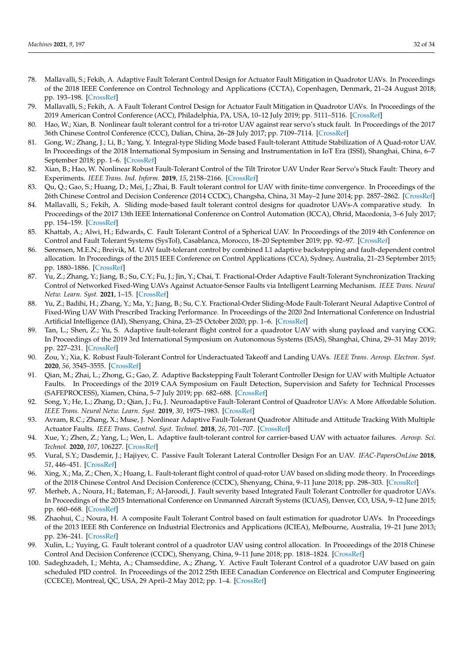- <span id="page-31-13"></span><span id="page-31-12"></span><span id="page-31-11"></span><span id="page-31-10"></span><span id="page-31-9"></span><span id="page-31-8"></span><span id="page-31-7"></span><span id="page-31-6"></span><span id="page-31-5"></span><span id="page-31-4"></span><span id="page-31-0"></span>78. Mallavalli, S.; Fekih, A. Adaptive Fault Tolerant Control Design for Actuator Fault Mitigation in Quadrotor UAVs. In Proceedings of the 2018 IEEE Conference on Control Technology and Applications (CCTA), Copenhagen, Denmark, 21–24 August 2018; pp. 193–198. [\[CrossRef\]](http://dx.doi.org/10.1109/CCTA.2018.8511427)
- <span id="page-31-14"></span><span id="page-31-1"></span>79. Mallavalli, S.; Fekih, A. A Fault Tolerant Control Design for Actuator Fault Mitigation in Quadrotor UAVs. In Proceedings of the 2019 American Control Conference (ACC), Philadelphia, PA, USA, 10–12 July 2019; pp. 5111–5116. [\[CrossRef\]](http://dx.doi.org/10.23919/ACC.2019.8815190)
- <span id="page-31-2"></span>80. Hao, W.; Xian, B. Nonlinear fault tolerant control for a tri-rotor UAV against rear servo's stuck fault. In Proceedings of the 2017 36th Chinese Control Conference (CCC), Dalian, China, 26–28 July 2017; pp. 7109–7114. [\[CrossRef\]](http://dx.doi.org/10.23919/ChiCC.2017.8028477)
- <span id="page-31-15"></span><span id="page-31-3"></span>81. Gong, W.; Zhang, J.; Li, B.; Yang, Y. Integral-type Sliding Mode based Fault-tolerant Attitude Stabilization of A Quad-rotor UAV. In Proceedings of the 2018 International Symposium in Sensing and Instrumentation in IoT Era (ISSI), Shanghai, China, 6–7 September 2018; pp. 1–6. [\[CrossRef\]](http://dx.doi.org/10.1109/ISSI.2018.8538083)
- <span id="page-31-27"></span><span id="page-31-16"></span>82. Xian, B.; Hao, W. Nonlinear Robust Fault-Tolerant Control of the Tilt Trirotor UAV Under Rear Servo's Stuck Fault: Theory and Experiments. *IEEE Trans. Ind. Inform.* **2019**, *15*, 2158–2166. [\[CrossRef\]](http://dx.doi.org/10.1109/TII.2018.2858143)
- <span id="page-31-28"></span><span id="page-31-17"></span>83. Qu, Q.; Gao, S.; Huang, D.; Mei, J.; Zhai, B. Fault tolerant control for UAV with finite-time convergence. In Proceedings of the 26th Chinese Control and Decision Conference (2014 CCDC), Changsha, China, 31 May–2 June 2014; pp. 2857–2862. [\[CrossRef\]](http://dx.doi.org/10.1109/CCDC.2014.6852660)
- <span id="page-31-29"></span><span id="page-31-18"></span>84. Mallavalli, S.; Fekih, A. Sliding mode-based fault tolerant control designs for quadrotor UAVs-A comparative study. In Proceedings of the 2017 13th IEEE International Conference on Control Automation (ICCA), Ohrid, Macedonia, 3–6 July 2017; pp. 154–159. [\[CrossRef\]](http://dx.doi.org/10.1109/ICCA.2017.8003051)
- <span id="page-31-30"></span><span id="page-31-19"></span>85. Khattab, A.; Alwi, H.; Edwards, C. Fault Tolerant Control of a Spherical UAV. In Proceedings of the 2019 4th Conference on Control and Fault Tolerant Systems (SysTol), Casablanca, Morocco, 18–20 September 2019; pp. 92–97. [\[CrossRef\]](http://dx.doi.org/10.1109/SYSTOL.2019.8864770)
- <span id="page-31-31"></span><span id="page-31-21"></span><span id="page-31-20"></span>86. Sørensen, M.E.N.; Breivik, M. UAV fault-tolerant control by combined L1 adaptive backstepping and fault-dependent control allocation. In Proceedings of the 2015 IEEE Conference on Control Applications (CCA), Sydney, Australia, 21–23 September 2015; pp. 1880–1886. [\[CrossRef\]](http://dx.doi.org/10.1109/CCA.2015.7320884)
- <span id="page-31-32"></span><span id="page-31-22"></span>87. Yu, Z.; Zhang, Y.; Jiang, B.; Su, C.Y.; Fu, J.; Jin, Y.; Chai, T. Fractional-Order Adaptive Fault-Tolerant Synchronization Tracking Control of Networked Fixed-Wing UAVs Against Actuator-Sensor Faults via Intelligent Learning Mechanism. *IEEE Trans. Neural Netw. Learn. Syst.* **2021**, 1–15. [\[CrossRef\]](http://dx.doi.org/10.1109/TNNLS.2021.3059933)
- <span id="page-31-33"></span><span id="page-31-23"></span>88. Yu, Z.; Badihi, H.; Zhang, Y.; Ma, Y.; Jiang, B.; Su, C.Y. Fractional-Order Sliding-Mode Fault-Tolerant Neural Adaptive Control of Fixed-Wing UAV With Prescribed Tracking Performance. In Proceedings of the 2020 2nd International Conference on Industrial Artificial Intelligence (IAI), Shenyang, China, 23–25 October 2020; pp. 1–6. [\[CrossRef\]](http://dx.doi.org/10.1109/IAI50351.2020.9262225)
- <span id="page-31-34"></span><span id="page-31-24"></span>89. Tan, L.; Shen, Z.; Yu, S. Adaptive fault-tolerant flight control for a quadrotor UAV with slung payload and varying COG. In Proceedings of the 2019 3rd International Symposium on Autonomous Systems (ISAS), Shanghai, China, 29–31 May 2019; pp. 227–231. [\[CrossRef\]](http://dx.doi.org/10.1109/ISASS.2019.8757704)
- <span id="page-31-35"></span><span id="page-31-25"></span>90. Zou, Y.; Xia, K. Robust Fault-Tolerant Control for Underactuated Takeoff and Landing UAVs. *IEEE Trans. Aerosp. Electron. Syst.* **2020**, *56*, 3545–3555. [\[CrossRef\]](http://dx.doi.org/10.1109/TAES.2020.2975446)
- <span id="page-31-36"></span><span id="page-31-26"></span>91. Qian, M.; Zhai, L.; Zhong, G.; Gao, Z. Adaptive Backstepping Fault Tolerant Controller Design for UAV with Multiple Actuator Faults. In Proceedings of the 2019 CAA Symposium on Fault Detection, Supervision and Safety for Technical Processes (SAFEPROCESS), Xiamen, China, 5–7 July 2019; pp. 682–688. [\[CrossRef\]](http://dx.doi.org/10.1109/SAFEPROCESS45799.2019.9213263)
- <span id="page-31-37"></span>92. Song, Y.; He, L.; Zhang, D.; Qian, J.; Fu, J. Neuroadaptive Fault-Tolerant Control of Quadrotor UAVs: A More Affordable Solution. *IEEE Trans. Neural Netw. Learn. Syst.* **2019**, *30*, 1975–1983. [\[CrossRef\]](http://dx.doi.org/10.1109/TNNLS.2018.2876130)
- <span id="page-31-38"></span>93. Avram, R.C.; Zhang, X.; Muse, J. Nonlinear Adaptive Fault-Tolerant Quadrotor Altitude and Attitude Tracking With Multiple Actuator Faults. *IEEE Trans. Control. Syst. Technol.* **2018**, *26*, 701–707. [\[CrossRef\]](http://dx.doi.org/10.1109/TCST.2017.2670522)
- <span id="page-31-39"></span>94. Xue, Y.; Zhen, Z.; Yang, L.; Wen, L. Adaptive fault-tolerant control for carrier-based UAV with actuator failures. *Aerosp. Sci. Technol.* **2020**, *107*, 106227. [\[CrossRef\]](http://dx.doi.org/10.1016/j.ast.2020.106227)
- <span id="page-31-40"></span>95. Vural, S.Y.; Dasdemir, J.; Hajiyev, C. Passive Fault Tolerant Lateral Controller Design For an UAV. *IFAC-PapersOnLine* **2018**, *51*, 446–451. [\[CrossRef\]](http://dx.doi.org/10.1016/j.ifacol.2018.11.320)
- <span id="page-31-41"></span>96. Xing, X.; Ma, Z.; Chen, X.; Huang, L. Fault-tolerant flight control of quad-rotor UAV based on sliding mode theory. In Proceedings of the 2018 Chinese Control And Decision Conference (CCDC), Shenyang, China, 9–11 June 2018; pp. 298–303. [\[CrossRef\]](http://dx.doi.org/10.1109/CCDC.2018.8407148)
- <span id="page-31-42"></span>97. Merheb, A.; Noura, H.; Bateman, F.; Al-Jaroodi, J. Fault severity based Integrated Fault Tolerant Controller for quadrotor UAVs. In Proceedings of the 2015 International Conference on Unmanned Aircraft Systems (ICUAS), Denver, CO, USA, 9–12 June 2015; pp. 660–668. [\[CrossRef\]](http://dx.doi.org/10.1109/ICUAS.2015.7152348)
- <span id="page-31-43"></span>98. Zhaohui, C.; Noura, H. A composite Fault Tolerant Control based on fault estimation for quadrotor UAVs. In Proceedings of the 2013 IEEE 8th Conference on Industrial Electronics and Applications (ICIEA), Melbourne, Australia, 19–21 June 2013; pp. 236–241. [\[CrossRef\]](http://dx.doi.org/10.1109/ICIEA.2013.6566373)
- <span id="page-31-44"></span>99. Xulin, L.; Yuying, G. Fault tolerant control of a quadrotor UAV using control allocation. In Proceedings of the 2018 Chinese Control And Decision Conference (CCDC), Shenyang, China, 9–11 June 2018; pp. 1818–1824. [\[CrossRef\]](http://dx.doi.org/10.1109/CCDC.2018.8407422)
- <span id="page-31-45"></span>100. Sadeghzadeh, I.; Mehta, A.; Chamseddine, A.; Zhang, Y. Active Fault Tolerant Control of a quadrotor UAV based on gain scheduled PID control. In Proceedings of the 2012 25th IEEE Canadian Conference on Electrical and Computer Engineering (CCECE), Montreal, QC, USA, 29 April–2 May 2012; pp. 1–4. [\[CrossRef\]](http://dx.doi.org/10.1109/CCECE.2012.6335037)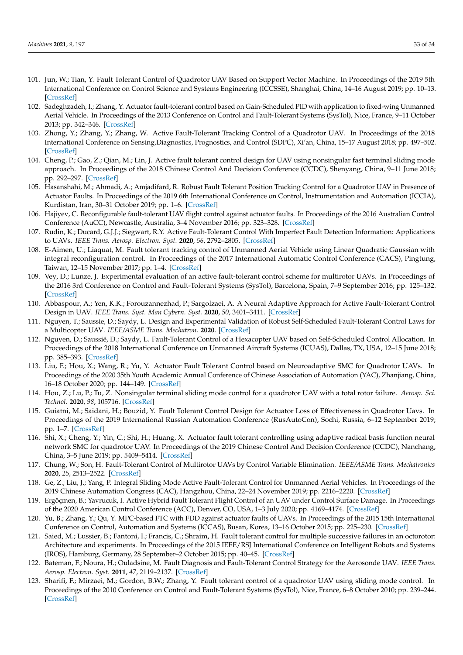- <span id="page-32-23"></span><span id="page-32-8"></span><span id="page-32-7"></span><span id="page-32-6"></span><span id="page-32-5"></span><span id="page-32-4"></span><span id="page-32-3"></span><span id="page-32-2"></span><span id="page-32-1"></span><span id="page-32-0"></span>101. Jun, W.; Tian, Y. Fault Tolerant Control of Quadrotor UAV Based on Support Vector Machine. In Proceedings of the 2019 5th International Conference on Control Science and Systems Engineering (ICCSSE), Shanghai, China, 14–16 August 2019; pp. 10–13. [\[CrossRef\]](http://dx.doi.org/10.1109/ICCSSE.2019.00010)
- <span id="page-32-24"></span><span id="page-32-9"></span>102. Sadeghzadeh, I.; Zhang, Y. Actuator fault-tolerant control based on Gain-Scheduled PID with application to fixed-wing Unmanned Aerial Vehicle. In Proceedings of the 2013 Conference on Control and Fault-Tolerant Systems (SysTol), Nice, France, 9–11 October 2013; pp. 342–346. [\[CrossRef\]](http://dx.doi.org/10.1109/SysTol.2013.6693957)
- <span id="page-32-25"></span><span id="page-32-11"></span><span id="page-32-10"></span>103. Zhong, Y.; Zhang, Y.; Zhang, W. Active Fault-Tolerant Tracking Control of a Quadrotor UAV. In Proceedings of the 2018 International Conference on Sensing,Diagnostics, Prognostics, and Control (SDPC), Xi'an, China, 15–17 August 2018; pp. 497–502. [\[CrossRef\]](http://dx.doi.org/10.1109/SDPC.2018.8665002)
- <span id="page-32-26"></span><span id="page-32-12"></span>104. Cheng, P.; Gao, Z.; Qian, M.; Lin, J. Active fault tolerant control design for UAV using nonsingular fast terminal sliding mode approach. In Proceedings of the 2018 Chinese Control And Decision Conference (CCDC), Shenyang, China, 9–11 June 2018; pp. 292–297. [\[CrossRef\]](http://dx.doi.org/10.1109/CCDC.2018.8407147)
- <span id="page-32-27"></span><span id="page-32-13"></span>105. Hasanshahi, M.; Ahmadi, A.; Amjadifard, R. Robust Fault Tolerant Position Tracking Control for a Quadrotor UAV in Presence of Actuator Faults. In Proceedings of the 2019 6th International Conference on Control, Instrumentation and Automation (ICCIA), Kurdistan, Iran, 30–31 October 2019; pp. 1–6. [\[CrossRef\]](http://dx.doi.org/10.1109/ICCIA49288.2019.9030838)
- <span id="page-32-28"></span><span id="page-32-14"></span>106. Hajiyev, C. Reconfigurable fault-tolerant UAV flight control against actuator faults. In Proceedings of the 2016 Australian Control Conference (AuCC), Newcastle, Australia, 3–4 November 2016; pp. 323–328. [\[CrossRef\]](http://dx.doi.org/10.1109/AUCC.2016.7868210)
- <span id="page-32-29"></span>107. Rudin, K.; Ducard, G.J.J.; Siegwart, R.Y. Active Fault-Tolerant Control With Imperfect Fault Detection Information: Applications to UAVs. *IEEE Trans. Aerosp. Electron. Syst.* **2020**, *56*, 2792–2805. [\[CrossRef\]](http://dx.doi.org/10.1109/TAES.2019.2959928)
- <span id="page-32-30"></span><span id="page-32-15"></span>108. E-Aimen, U.; Liaquat, M. Fault tolerant tracking control of Unmanned Aerial Vehicle using Linear Quadratic Gaussian with integral reconfiguration control. In Proceedings of the 2017 International Automatic Control Conference (CACS), Pingtung, Taiwan, 12–15 November 2017; pp. 1–4. [\[CrossRef\]](http://dx.doi.org/10.1109/CACS.2017.8284243.)
- <span id="page-32-31"></span><span id="page-32-17"></span><span id="page-32-16"></span>109. Vey, D.; Lunze, J. Experimental evaluation of an active fault-tolerant control scheme for multirotor UAVs. In Proceedings of the 2016 3rd Conference on Control and Fault-Tolerant Systems (SysTol), Barcelona, Spain, 7–9 September 2016; pp. 125–132. [\[CrossRef\]](http://dx.doi.org/10.1109/SYSTOL.2016.7739739)
- <span id="page-32-32"></span><span id="page-32-18"></span>110. Abbaspour, A.; Yen, K.K.; Forouzannezhad, P.; Sargolzaei, A. A Neural Adaptive Approach for Active Fault-Tolerant Control Design in UAV. *IEEE Trans. Syst. Man Cybern. Syst.* **2020**, *50*, 3401–3411. [\[CrossRef\]](http://dx.doi.org/10.1109/TSMC.2018.2850701)
- <span id="page-32-33"></span><span id="page-32-19"></span>111. Nguyen, T.; Saussie, D.; Saydy, L. Design and Experimental Validation of Robust Self-Scheduled Fault-Tolerant Control Laws for a Multicopter UAV. *IEEE/ASME Trans. Mechatron.* **2020**. [\[CrossRef\]](http://dx.doi.org/10.1109/TMECH.2020.3042333)
- <span id="page-32-34"></span><span id="page-32-20"></span>112. Nguyen, D.; Saussié, D.; Saydy, L. Fault-Tolerant Control of a Hexacopter UAV based on Self-Scheduled Control Allocation. In Proceedings of the 2018 International Conference on Unmanned Aircraft Systems (ICUAS), Dallas, TX, USA, 12–15 June 2018; pp. 385–393. [\[CrossRef\]](http://dx.doi.org/10.1109/ICUAS.2018.8453440)
- <span id="page-32-35"></span><span id="page-32-21"></span>113. Liu, F.; Hou, X.; Wang, R.; Yu, Y. Actuator Fault Tolerant Control based on Neuroadaptive SMC for Quadrotor UAVs. In Proceedings of the 2020 35th Youth Academic Annual Conference of Chinese Association of Automation (YAC), Zhanjiang, China, 16–18 October 2020; pp. 144–149. [\[CrossRef\]](http://dx.doi.org/10.1109/YAC51587.2020.9337612)
- <span id="page-32-36"></span><span id="page-32-22"></span>114. Hou, Z.; Lu, P.; Tu, Z. Nonsingular terminal sliding mode control for a quadrotor UAV with a total rotor failure. *Aerosp. Sci. Technol.* **2020**, *98*, 105716. [\[CrossRef\]](http://dx.doi.org/10.1016/j.ast.2020.105716)
- <span id="page-32-37"></span>115. Guiatni, M.; Saidani, H.; Bouzid, Y. Fault Tolerant Control Design for Actuator Loss of Effectiveness in Quadrotor Uavs. In Proceedings of the 2019 International Russian Automation Conference (RusAutoCon), Sochi, Russia, 6–12 September 2019; pp. 1–7. [\[CrossRef\]](http://dx.doi.org/10.1109/RUSAUTOCON.2019.8867636)
- <span id="page-32-38"></span>116. Shi, X.; Cheng, Y.; Yin, C.; Shi, H.; Huang, X. Actuator fault tolerant controlling using adaptive radical basis function neural network SMC for quadrotor UAV. In Proceedings of the 2019 Chinese Control And Decision Conference (CCDC), Nanchang, China, 3–5 June 2019; pp. 5409–5414. [\[CrossRef\]](http://dx.doi.org/10.1109/CCDC.2019.8833130)
- <span id="page-32-39"></span>117. Chung, W.; Son, H. Fault-Tolerant Control of Multirotor UAVs by Control Variable Elimination. *IEEE/ASME Trans. Mechatronics* **2020**, *25*, 2513–2522. [\[CrossRef\]](http://dx.doi.org/10.1109/TMECH.2020.2982436)
- <span id="page-32-40"></span>118. Ge, Z.; Liu, J.; Yang, P. Integral Sliding Mode Active Fault-Tolerant Control for Unmanned Aerial Vehicles. In Proceedings of the 2019 Chinese Automation Congress (CAC), Hangzhou, China, 22–24 November 2019; pp. 2216–2220. [\[CrossRef\]](http://dx.doi.org/10.1109/CAC48633.2019.8996791)
- <span id="page-32-41"></span>119. Ergöçmen, B.; Yavrucuk, I. Active Hybrid Fault Tolerant Flight Control of an UAV under Control Surface Damage. In Proceedings of the 2020 American Control Conference (ACC), Denver, CO, USA, 1–3 July 2020; pp. 4169–4174. [\[CrossRef\]](http://dx.doi.org/10.23919/ACC45564.2020.9147352)
- <span id="page-32-42"></span>120. Yu, B.; Zhang, Y.; Qu, Y. MPC-based FTC with FDD against actuator faults of UAVs. In Proceedings of the 2015 15th International Conference on Control, Automation and Systems (ICCAS), Busan, Korea, 13–16 October 2015; pp. 225–230. [\[CrossRef\]](http://dx.doi.org/10.1109/ICCAS.2015.7364911)
- <span id="page-32-43"></span>121. Saied, M.; Lussier, B.; Fantoni, I.; Francis, C.; Shraim, H. Fault tolerant control for multiple successive failures in an octorotor: Architecture and experiments. In Proceedings of the 2015 IEEE/RSJ International Conference on Intelligent Robots and Systems (IROS), Hamburg, Germany, 28 September–2 October 2015; pp. 40–45. [\[CrossRef\]](http://dx.doi.org/10.1109/IROS.2015.7353112)
- <span id="page-32-44"></span>122. Bateman, F.; Noura, H.; Ouladsine, M. Fault Diagnosis and Fault-Tolerant Control Strategy for the Aerosonde UAV. *IEEE Trans. Aerosp. Electron. Syst.* **2011**, *47*, 2119–2137. [\[CrossRef\]](http://dx.doi.org/10.1109/TAES.2011.5937287)
- <span id="page-32-45"></span>123. Sharifi, F.; Mirzaei, M.; Gordon, B.W.; Zhang, Y. Fault tolerant control of a quadrotor UAV using sliding mode control. In Proceedings of the 2010 Conference on Control and Fault-Tolerant Systems (SysTol), Nice, France, 6–8 October 2010; pp. 239–244. [\[CrossRef\]](http://dx.doi.org/10.1109/SYSTOL.2010.5675979)